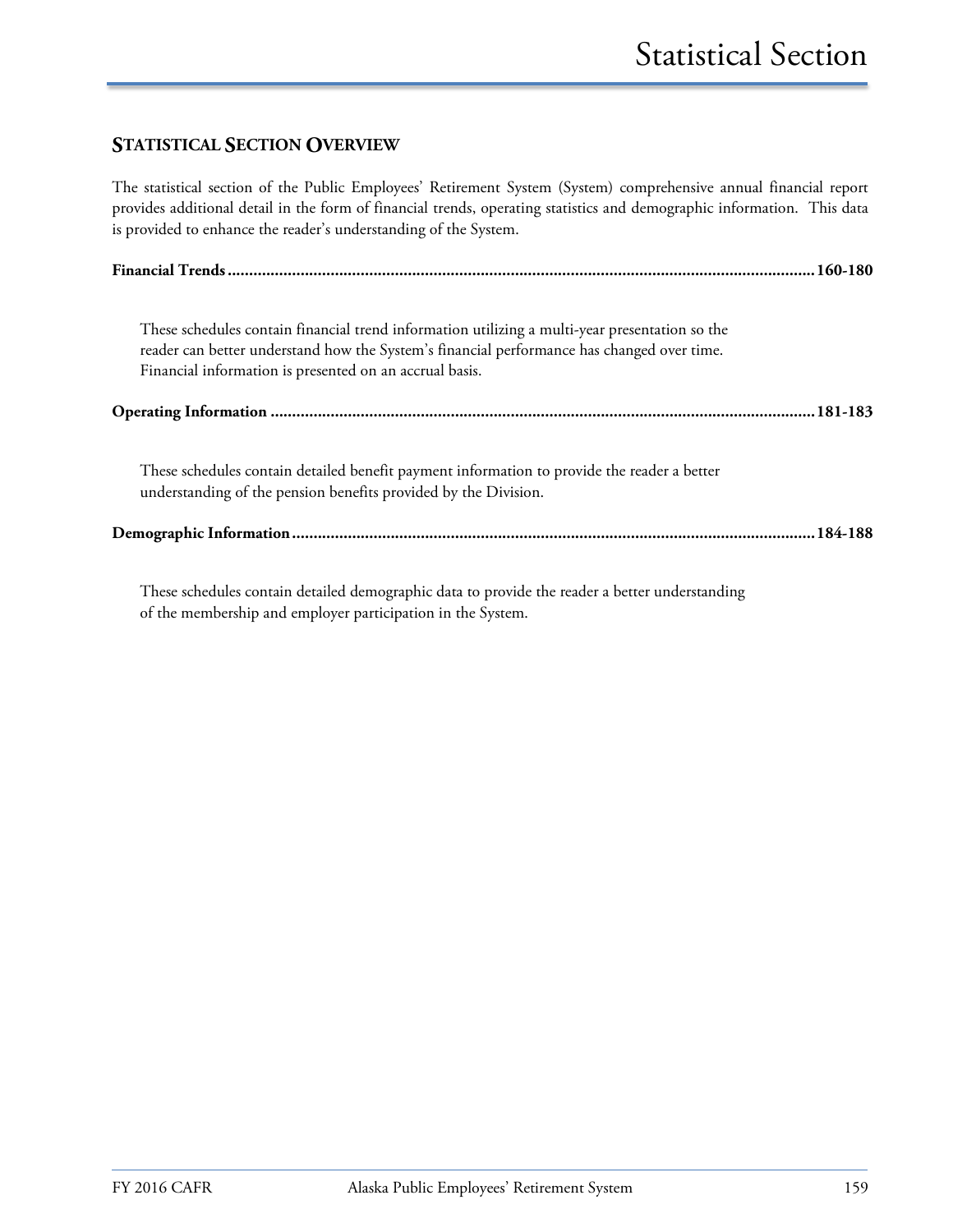## **STATISTICAL SECTION OVERVIEW**

The statistical section of the Public Employees' Retirement System (System) comprehensive annual financial report provides additional detail in the form of financial trends, operating statistics and demographic information. This data is provided to enhance the reader's understanding of the System.

| These schedules contain financial trend information utilizing a multi-year presentation so the<br>reader can better understand how the System's financial performance has changed over time.<br>Financial information is presented on an accrual basis. |
|---------------------------------------------------------------------------------------------------------------------------------------------------------------------------------------------------------------------------------------------------------|
|                                                                                                                                                                                                                                                         |
| These schedules contain detailed benefit payment information to provide the reader a better<br>understanding of the pension benefits provided by the Division.                                                                                          |
|                                                                                                                                                                                                                                                         |

These schedules contain detailed demographic data to provide the reader a better understanding of the membership and employer participation in the System.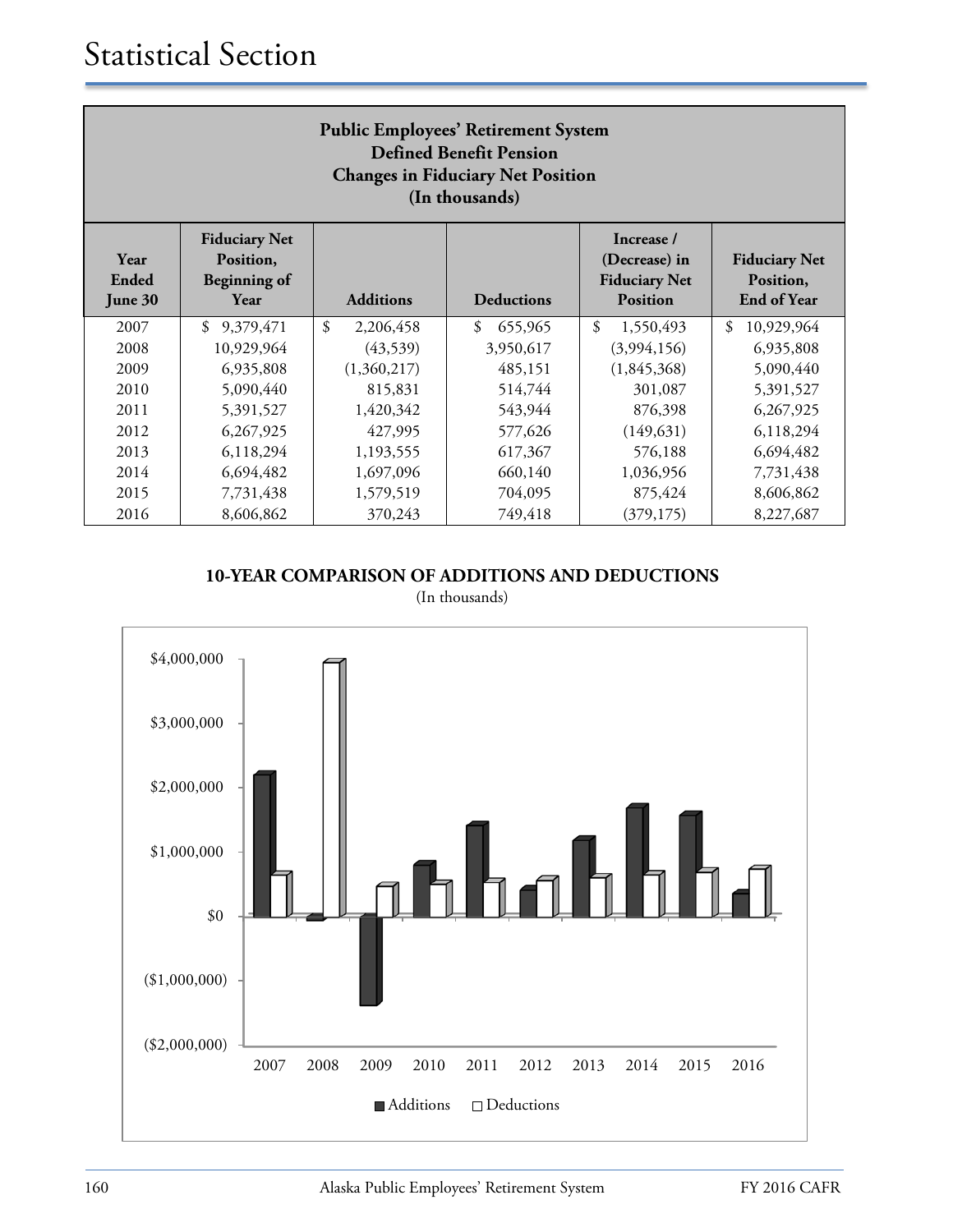| <b>Public Employees' Retirement System</b><br><b>Defined Benefit Pension</b><br><b>Changes in Fiduciary Net Position</b><br>(In thousands) |                                                                  |                  |                          |                                                                        |                                                         |  |  |
|--------------------------------------------------------------------------------------------------------------------------------------------|------------------------------------------------------------------|------------------|--------------------------|------------------------------------------------------------------------|---------------------------------------------------------|--|--|
| Year<br>Ended<br>June 30                                                                                                                   | <b>Fiduciary Net</b><br>Position,<br><b>Beginning of</b><br>Year | <b>Additions</b> | <b>Deductions</b>        | Increase /<br>(Decrease) in<br><b>Fiduciary Net</b><br><b>Position</b> | <b>Fiduciary Net</b><br>Position,<br><b>End of Year</b> |  |  |
| 2007                                                                                                                                       | \$<br>9,379,471                                                  | \$<br>2,206,458  | 655,965<br>$\mathcal{S}$ | $\mathcal{S}$<br>1,550,493                                             | $\mathcal{S}$<br>10,929,964                             |  |  |
| 2008                                                                                                                                       | 10,929,964                                                       | (43,539)         | 3,950,617                | (3,994,156)                                                            | 6,935,808                                               |  |  |
| 2009                                                                                                                                       | 6,935,808                                                        | (1,360,217)      | 485,151                  | (1,845,368)                                                            | 5,090,440                                               |  |  |
| 2010                                                                                                                                       | 5,090,440                                                        | 815,831          | 514,744                  | 301,087                                                                | 5,391,527                                               |  |  |
| 2011                                                                                                                                       | 5,391,527                                                        | 1,420,342        | 543,944                  | 876,398                                                                | 6,267,925                                               |  |  |
| 2012                                                                                                                                       | 6,267,925                                                        | 427,995          | 577,626                  | (149, 631)                                                             | 6,118,294                                               |  |  |
| 2013                                                                                                                                       | 6,118,294                                                        | 1,193,555        | 617,367                  | 576,188                                                                | 6,694,482                                               |  |  |
| 2014                                                                                                                                       | 6,694,482<br>1,036,956<br>1,697,096<br>660,140<br>7,731,438      |                  |                          |                                                                        |                                                         |  |  |
| 2015                                                                                                                                       | 7,731,438                                                        | 1,579,519        | 704,095                  | 875,424                                                                | 8,606,862                                               |  |  |
| 2016                                                                                                                                       | 8,606,862                                                        | 370,243          | 749,418                  | (379, 175)                                                             | 8,227,687                                               |  |  |

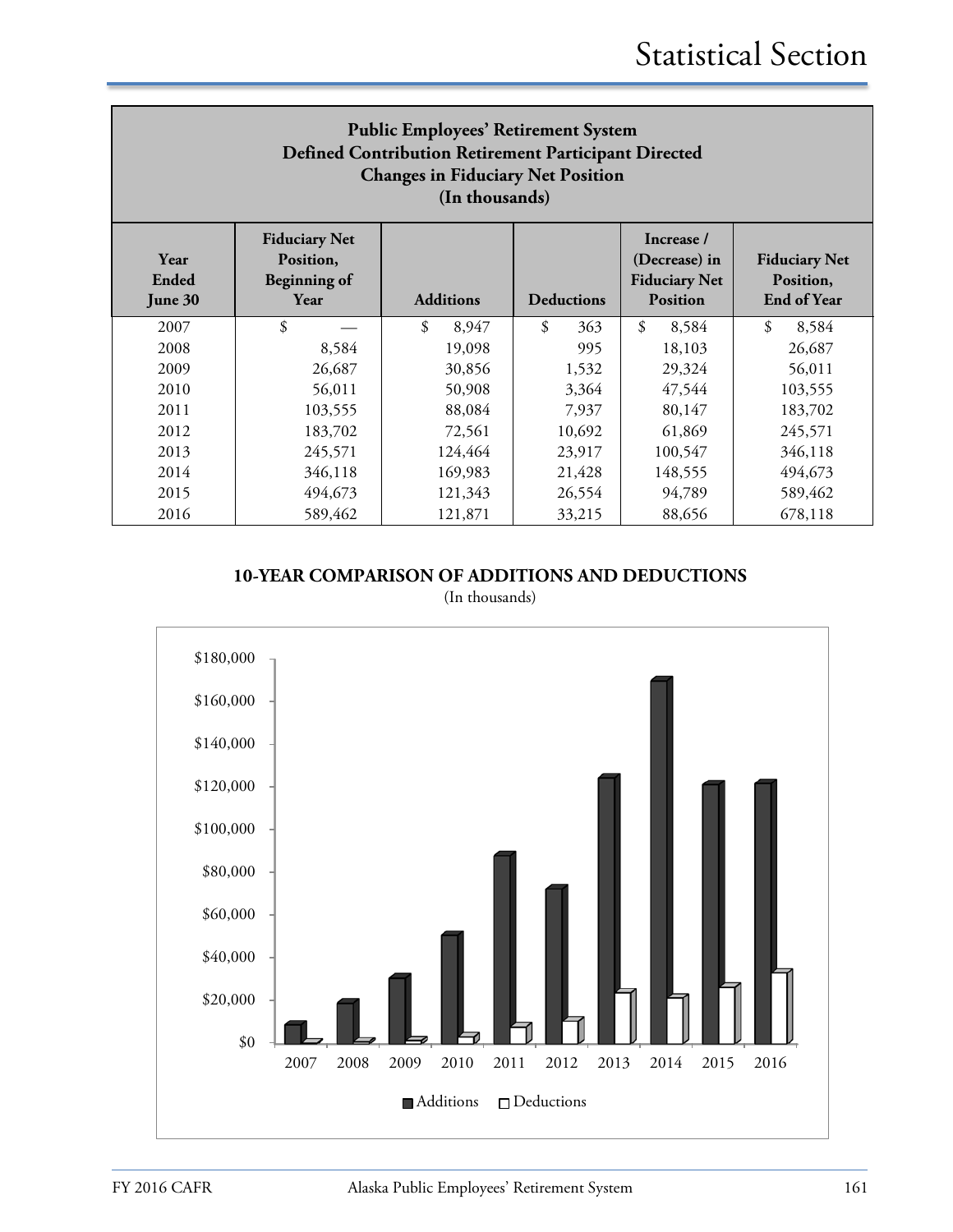| <b>Public Employees' Retirement System</b><br>Defined Contribution Retirement Participant Directed<br><b>Changes in Fiduciary Net Position</b><br>(In thousands) |                                                                  |                  |                   |                                                                        |                                                         |  |
|------------------------------------------------------------------------------------------------------------------------------------------------------------------|------------------------------------------------------------------|------------------|-------------------|------------------------------------------------------------------------|---------------------------------------------------------|--|
| Year<br>Ended<br>June 30                                                                                                                                         | <b>Fiduciary Net</b><br>Position,<br><b>Beginning of</b><br>Year | <b>Additions</b> | <b>Deductions</b> | Increase /<br>(Decrease) in<br><b>Fiduciary Net</b><br><b>Position</b> | <b>Fiduciary Net</b><br>Position,<br><b>End of Year</b> |  |
| 2007                                                                                                                                                             | \$                                                               | \$<br>8,947      | \$<br>363         | \$<br>8,584                                                            | $\mathcal{S}$<br>8,584                                  |  |
| 2008                                                                                                                                                             | 8,584                                                            | 19,098           | 995               | 18,103                                                                 | 26,687                                                  |  |
| 2009                                                                                                                                                             | 26,687                                                           | 30,856           | 1,532             | 29,324                                                                 | 56,011                                                  |  |
| 2010                                                                                                                                                             | 56,011                                                           | 50,908           | 3,364             | 47,544                                                                 | 103,555                                                 |  |
| 2011                                                                                                                                                             | 103,555                                                          | 88,084           | 7,937             | 80,147                                                                 | 183,702                                                 |  |
| 2012                                                                                                                                                             | 183,702                                                          | 72,561           | 10,692            | 61,869                                                                 | 245,571                                                 |  |
| 2013                                                                                                                                                             | 245,571                                                          | 124,464          | 23,917            | 100,547                                                                | 346,118                                                 |  |
| 2014                                                                                                                                                             | 346,118                                                          | 169,983          | 21,428            | 148,555                                                                | 494,673                                                 |  |
| 2015                                                                                                                                                             | 494,673                                                          | 121,343          | 26,554            | 94,789                                                                 | 589,462                                                 |  |
| 2016                                                                                                                                                             | 589,462                                                          | 121,871          | 33,215            | 88,656                                                                 | 678,118                                                 |  |

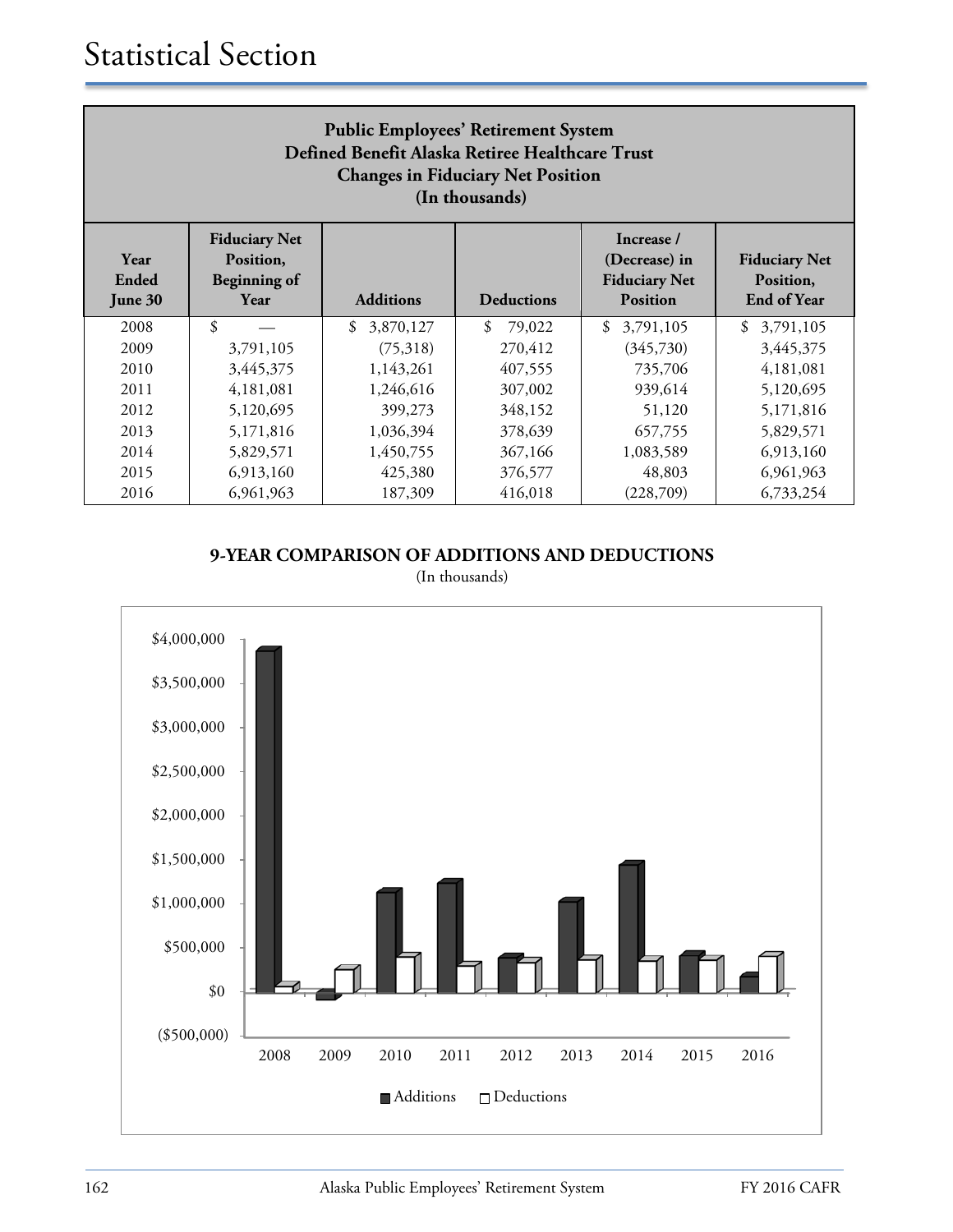| <b>Public Employees' Retirement System</b><br>Defined Benefit Alaska Retiree Healthcare Trust<br><b>Changes in Fiduciary Net Position</b><br>(In thousands) |                                                                  |                  |                   |                                                                        |                                                         |  |
|-------------------------------------------------------------------------------------------------------------------------------------------------------------|------------------------------------------------------------------|------------------|-------------------|------------------------------------------------------------------------|---------------------------------------------------------|--|
| Year<br>Ended<br>June 30                                                                                                                                    | <b>Fiduciary Net</b><br>Position,<br><b>Beginning of</b><br>Year | <b>Additions</b> | <b>Deductions</b> | Increase /<br>(Decrease) in<br><b>Fiduciary Net</b><br><b>Position</b> | <b>Fiduciary Net</b><br>Position,<br><b>End of Year</b> |  |
| 2008                                                                                                                                                        | \$                                                               | \$<br>3,870,127  | \$<br>79,022      | \$<br>3,791,105                                                        | \$<br>3,791,105                                         |  |
| 2009                                                                                                                                                        | 3,791,105                                                        | (75,318)         | 270,412           | (345,730)                                                              | 3,445,375                                               |  |
| 2010                                                                                                                                                        | 3,445,375                                                        | 1,143,261        | 407,555           | 735,706                                                                | 4,181,081                                               |  |
| 2011                                                                                                                                                        | 4,181,081                                                        | 1,246,616        | 307,002           | 939,614                                                                | 5,120,695                                               |  |
| 2012                                                                                                                                                        | 5,120,695                                                        | 399,273          | 348,152           | 51,120                                                                 | 5,171,816                                               |  |
| 2013                                                                                                                                                        | 5,171,816                                                        | 1,036,394        | 378,639           | 657,755                                                                | 5,829,571                                               |  |
| 2014                                                                                                                                                        | 1,450,755<br>367,166<br>5,829,571<br>6,913,160<br>1,083,589      |                  |                   |                                                                        |                                                         |  |
| 2015                                                                                                                                                        | 6,913,160                                                        | 425,380          | 376,577           | 48,803                                                                 | 6,961,963                                               |  |
| 2016                                                                                                                                                        | 6,961,963                                                        | 187,309          | 416,018           | (228,709)                                                              | 6,733,254                                               |  |

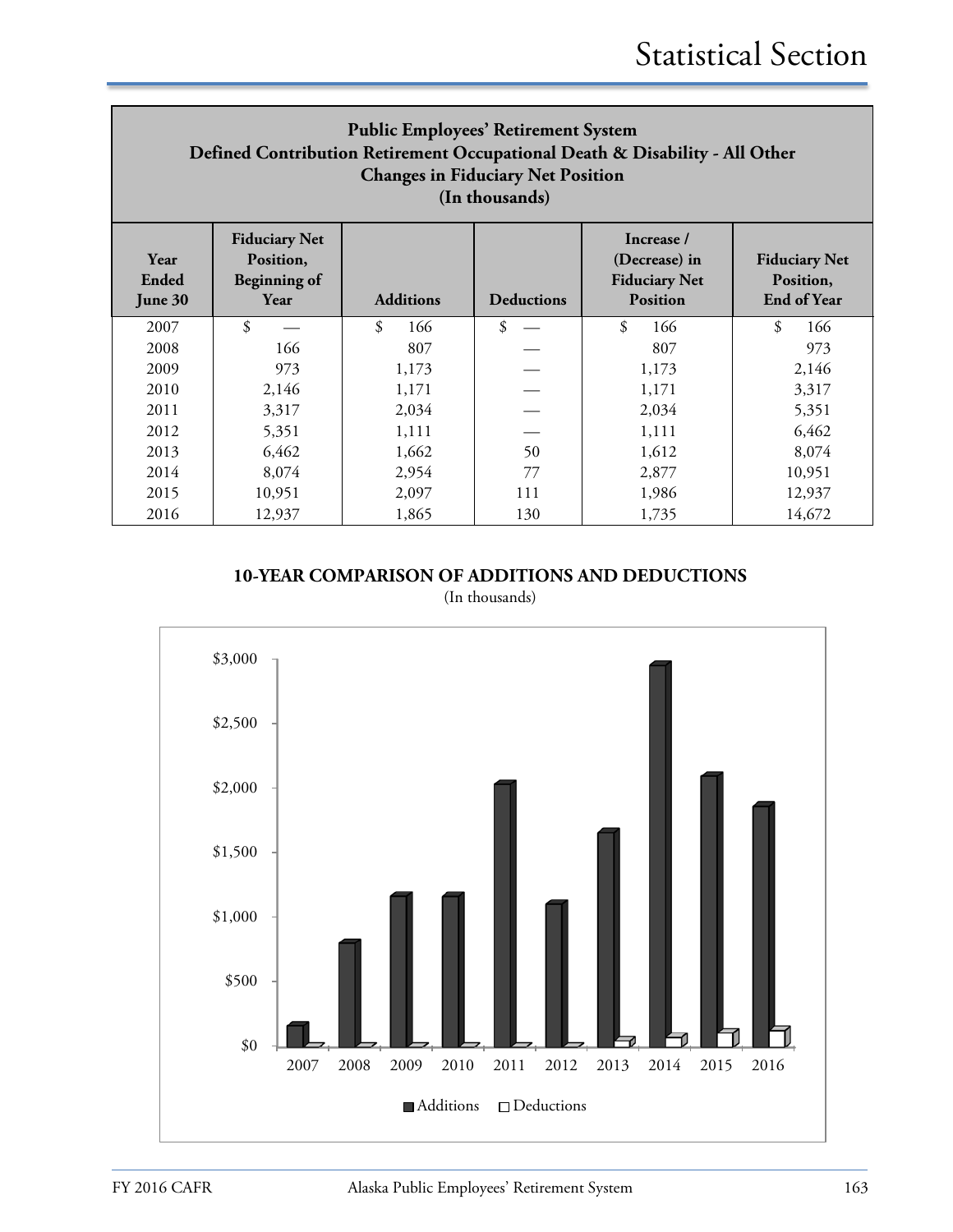| <b>Public Employees' Retirement System</b><br>Defined Contribution Retirement Occupational Death & Disability - All Other<br><b>Changes in Fiduciary Net Position</b><br>(In thousands) |                                                                  |                  |                   |                                                                        |                                                         |  |  |
|-----------------------------------------------------------------------------------------------------------------------------------------------------------------------------------------|------------------------------------------------------------------|------------------|-------------------|------------------------------------------------------------------------|---------------------------------------------------------|--|--|
| Year<br>Ended<br>June 30                                                                                                                                                                | <b>Fiduciary Net</b><br>Position,<br><b>Beginning of</b><br>Year | <b>Additions</b> | <b>Deductions</b> | Increase /<br>(Decrease) in<br><b>Fiduciary Net</b><br><b>Position</b> | <b>Fiduciary Net</b><br>Position,<br><b>End of Year</b> |  |  |
| 2007                                                                                                                                                                                    | \$                                                               | \$<br>166        | \$                | \$<br>166                                                              | \$<br>166                                               |  |  |
| 2008                                                                                                                                                                                    | 166                                                              | 807              |                   | 807                                                                    | 973                                                     |  |  |
| 2009                                                                                                                                                                                    | 973                                                              | 1,173            |                   | 1,173                                                                  | 2,146                                                   |  |  |
| 2010                                                                                                                                                                                    | 2,146                                                            | 1,171            |                   | 1,171                                                                  | 3,317                                                   |  |  |
| 2011                                                                                                                                                                                    | 3,317                                                            | 2.034            |                   | 2,034                                                                  | 5,351                                                   |  |  |
| 2012                                                                                                                                                                                    | 5,351                                                            | 1,111            |                   | 1,111                                                                  | 6,462                                                   |  |  |
| 2013                                                                                                                                                                                    | 6,462                                                            | 1,662            | 50                | 1,612                                                                  | 8,074                                                   |  |  |
| 2014                                                                                                                                                                                    | 8,074<br>2,954<br>10,951<br>77<br>2,877                          |                  |                   |                                                                        |                                                         |  |  |
| 2015                                                                                                                                                                                    | 10,951                                                           | 2,097            | 111               | 1,986                                                                  | 12,937                                                  |  |  |
| 2016                                                                                                                                                                                    | 12,937                                                           | 1,865            | 130               | 1,735                                                                  | 14,672                                                  |  |  |

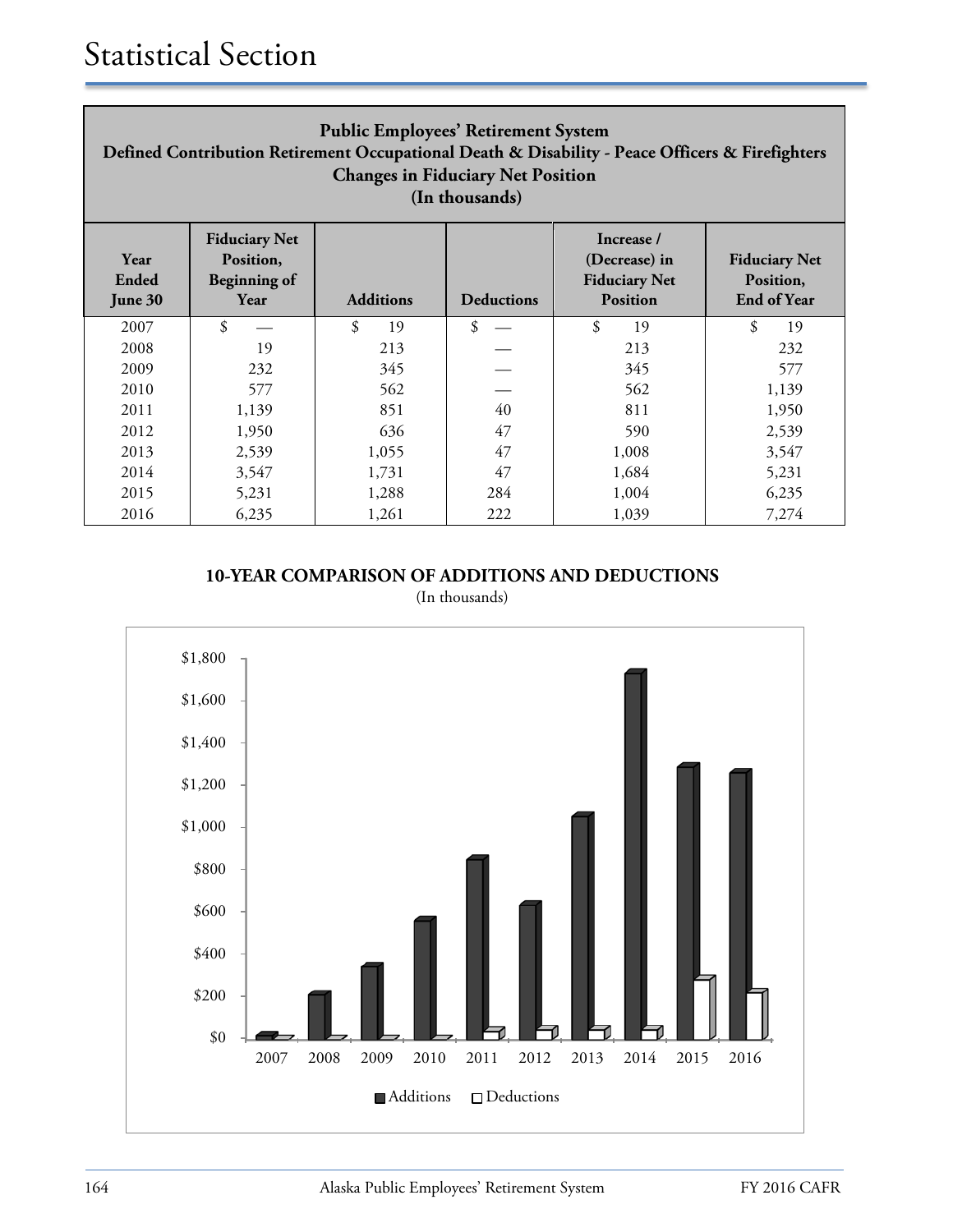| <b>Public Employees' Retirement System</b><br>Defined Contribution Retirement Occupational Death & Disability - Peace Officers & Firefighters<br><b>Changes in Fiduciary Net Position</b><br>(In thousands) |                                                                  |                  |                   |                                                                        |                                                         |  |  |
|-------------------------------------------------------------------------------------------------------------------------------------------------------------------------------------------------------------|------------------------------------------------------------------|------------------|-------------------|------------------------------------------------------------------------|---------------------------------------------------------|--|--|
| Year<br>Ended<br>June 30                                                                                                                                                                                    | <b>Fiduciary Net</b><br>Position,<br><b>Beginning of</b><br>Year | <b>Additions</b> | <b>Deductions</b> | Increase /<br>(Decrease) in<br><b>Fiduciary Net</b><br><b>Position</b> | <b>Fiduciary Net</b><br>Position,<br><b>End of Year</b> |  |  |
| 2007                                                                                                                                                                                                        | \$                                                               | \$<br>19         | \$                | \$<br>19                                                               | \$<br>19                                                |  |  |
| 2008                                                                                                                                                                                                        | 19                                                               | 213              |                   | 213                                                                    | 232                                                     |  |  |
| 2009                                                                                                                                                                                                        | 232                                                              | 345              |                   | 345                                                                    | 577                                                     |  |  |
| 2010                                                                                                                                                                                                        | 577                                                              | 562              |                   | 562                                                                    | 1,139                                                   |  |  |
| 2011                                                                                                                                                                                                        | 1,139                                                            | 851              | 40                | 811                                                                    | 1,950                                                   |  |  |
| 2012                                                                                                                                                                                                        | 1,950                                                            | 636              | 47                | 590                                                                    | 2,539                                                   |  |  |
| 2013                                                                                                                                                                                                        | 2,539                                                            | 1,055            | 47                | 1,008                                                                  | 3,547                                                   |  |  |
| 2014                                                                                                                                                                                                        | 3,547                                                            | 1,731            | 47                | 1,684                                                                  | 5,231                                                   |  |  |
| 2015                                                                                                                                                                                                        | 5,231                                                            | 1,288            | 284               | 1,004                                                                  | 6,235                                                   |  |  |
| 2016                                                                                                                                                                                                        | 6,235                                                            | 1,261            | 222               | 1,039                                                                  | 7,274                                                   |  |  |

(In thousands)

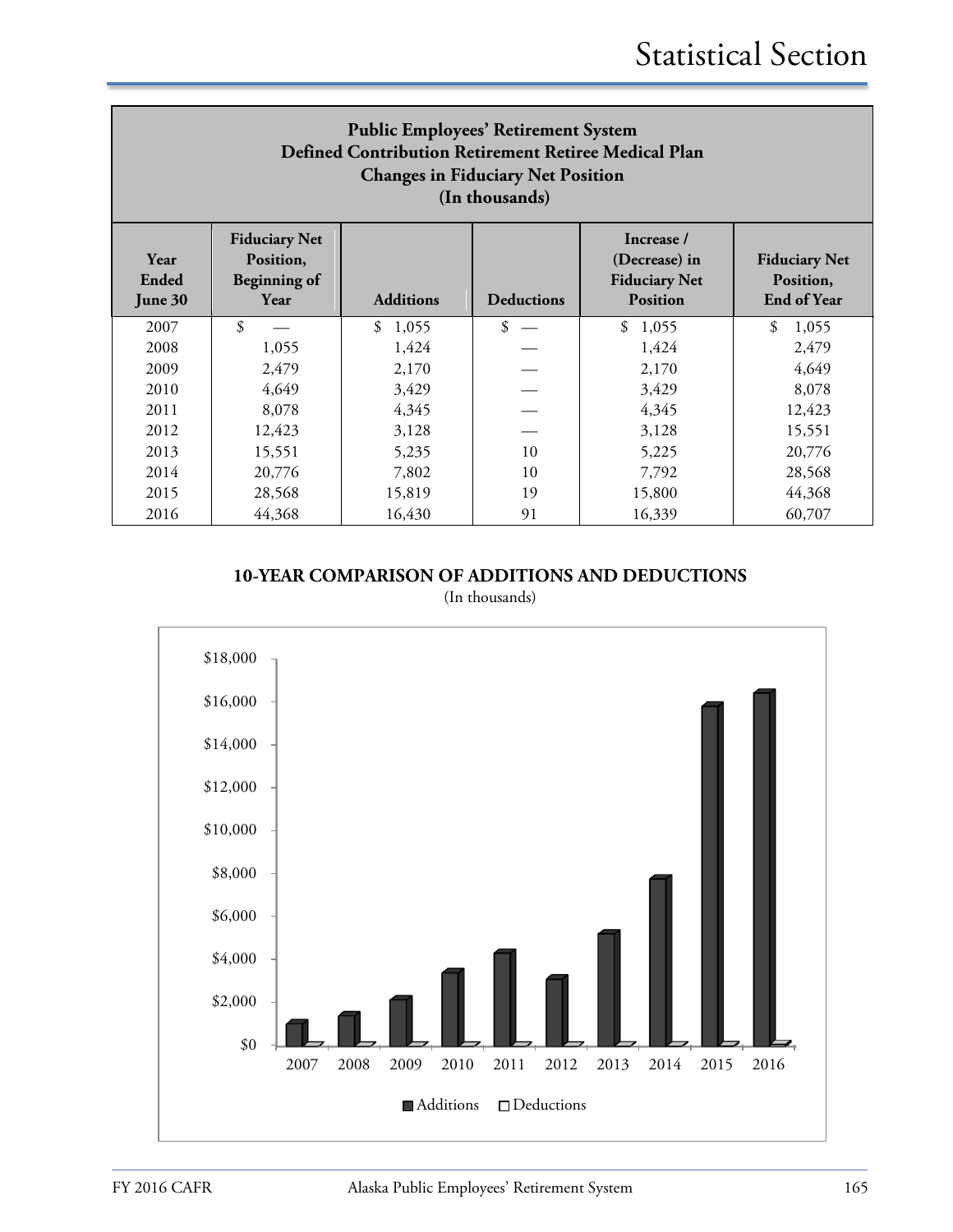| <b>Public Employees' Retirement System</b><br>Defined Contribution Retirement Retiree Medical Plan<br><b>Changes in Fiduciary Net Position</b><br>(In thousands) |                                                                  |                  |                   |                                                                        |                                                         |  |  |
|------------------------------------------------------------------------------------------------------------------------------------------------------------------|------------------------------------------------------------------|------------------|-------------------|------------------------------------------------------------------------|---------------------------------------------------------|--|--|
| Year<br>Ended<br>June 30                                                                                                                                         | <b>Fiduciary Net</b><br>Position,<br><b>Beginning of</b><br>Year | <b>Additions</b> | <b>Deductions</b> | Increase /<br>(Decrease) in<br><b>Fiduciary Net</b><br><b>Position</b> | <b>Fiduciary Net</b><br>Position,<br><b>End of Year</b> |  |  |
| 2007                                                                                                                                                             | $\mathfrak{L}$                                                   | \$1,055          | \$                | \$<br>1,055                                                            | $\mathcal{S}$<br>1,055                                  |  |  |
| 2008                                                                                                                                                             | 1,055                                                            | 1,424            |                   | 1,424                                                                  | 2,479                                                   |  |  |
| 2009                                                                                                                                                             | 2,479                                                            | 2,170            |                   | 2,170                                                                  | 4,649                                                   |  |  |
| 2010                                                                                                                                                             | 4,649                                                            | 3,429            |                   | 3,429                                                                  | 8,078                                                   |  |  |
| 2011                                                                                                                                                             | 8,078                                                            | 4,345            |                   | 4,345                                                                  | 12,423                                                  |  |  |
| 2012                                                                                                                                                             | 12,423                                                           | 3,128            |                   | 3,128                                                                  | 15,551                                                  |  |  |
| 2013                                                                                                                                                             | 15,551                                                           | 5,235<br>10      |                   | 5,225                                                                  | 20,776                                                  |  |  |
| 2014                                                                                                                                                             | 20,776<br>28,568<br>7,802<br>7,792<br>10                         |                  |                   |                                                                        |                                                         |  |  |
| 2015                                                                                                                                                             | 28,568                                                           | 15,819           | 19                | 15,800                                                                 | 44,368                                                  |  |  |
| 2016                                                                                                                                                             | 44,368                                                           | 16,430           | 91                | 16,339                                                                 | 60,707                                                  |  |  |

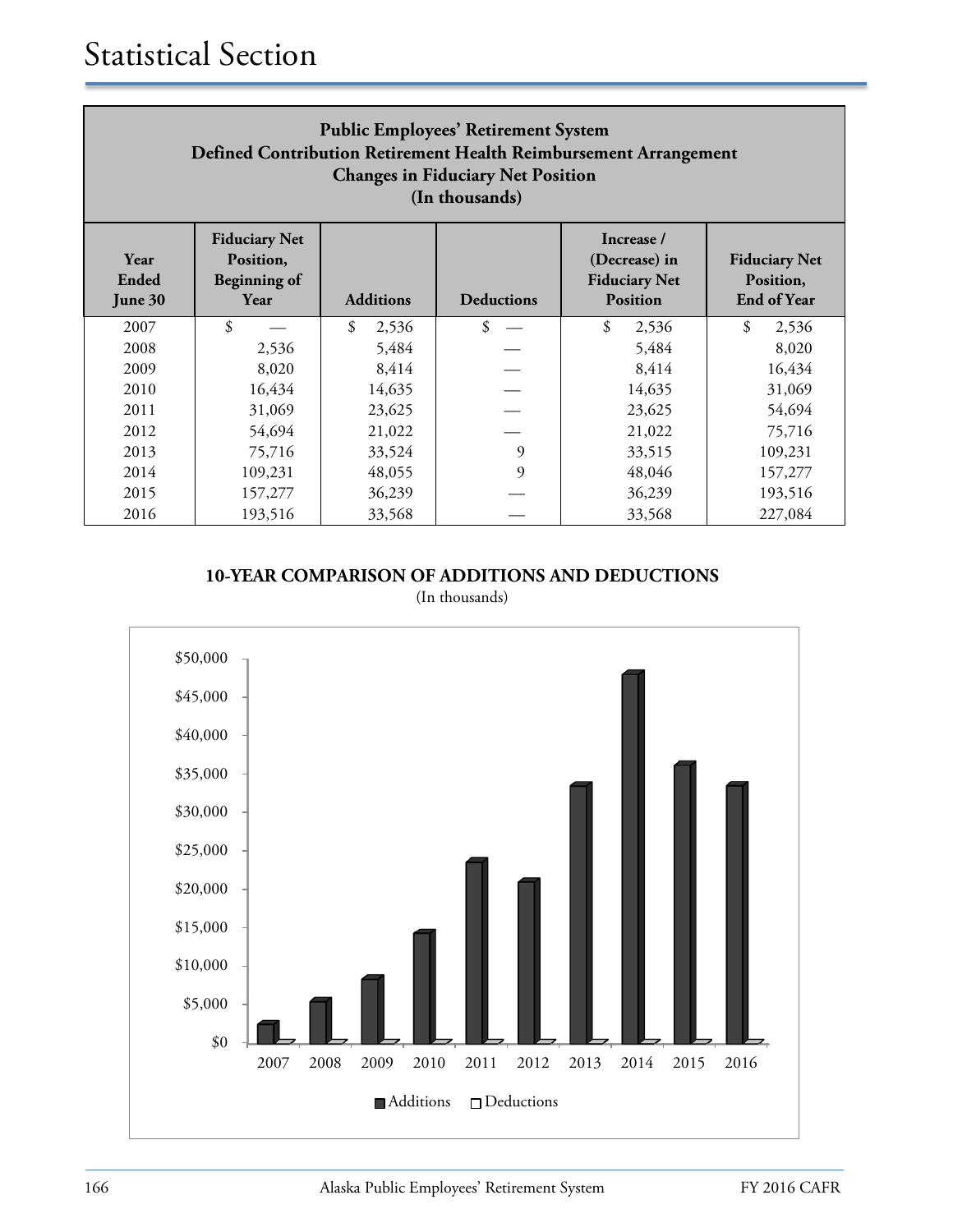| <b>Public Employees' Retirement System</b><br>Defined Contribution Retirement Health Reimbursement Arrangement<br><b>Changes in Fiduciary Net Position</b><br>(In thousands) |                                                                  |                  |                   |                                                                        |                                                         |  |  |
|------------------------------------------------------------------------------------------------------------------------------------------------------------------------------|------------------------------------------------------------------|------------------|-------------------|------------------------------------------------------------------------|---------------------------------------------------------|--|--|
| Year<br>Ended<br>June 30                                                                                                                                                     | <b>Fiduciary Net</b><br>Position,<br><b>Beginning of</b><br>Year | <b>Additions</b> | <b>Deductions</b> | Increase /<br>(Decrease) in<br><b>Fiduciary Net</b><br><b>Position</b> | <b>Fiduciary Net</b><br>Position,<br><b>End of Year</b> |  |  |
| 2007                                                                                                                                                                         | \$                                                               | \$<br>2,536      | \$                | \$<br>2,536                                                            | \$<br>2,536                                             |  |  |
| 2008                                                                                                                                                                         | 2,536                                                            | 5,484            |                   | 5,484                                                                  | 8,020                                                   |  |  |
| 2009                                                                                                                                                                         | 8,020                                                            | 8,414            |                   | 8,414                                                                  | 16,434                                                  |  |  |
| 2010                                                                                                                                                                         | 16,434                                                           | 14,635           |                   | 14,635                                                                 | 31,069                                                  |  |  |
| 2011                                                                                                                                                                         | 31,069                                                           | 23,625           |                   | 23,625                                                                 | 54,694                                                  |  |  |
| 2012                                                                                                                                                                         | 54,694                                                           | 21,022           |                   | 21,022                                                                 | 75,716                                                  |  |  |
| 2013                                                                                                                                                                         | 75,716                                                           | 33,524           | 9                 | 33,515                                                                 | 109,231                                                 |  |  |
| 2014                                                                                                                                                                         | 9<br>48,055<br>48,046<br>109,231<br>157,277                      |                  |                   |                                                                        |                                                         |  |  |
| 2015                                                                                                                                                                         | 157,277                                                          | 36,239           |                   | 36,239                                                                 | 193,516                                                 |  |  |
| 2016                                                                                                                                                                         | 193,516                                                          | 33,568           |                   | 33,568                                                                 | 227,084                                                 |  |  |

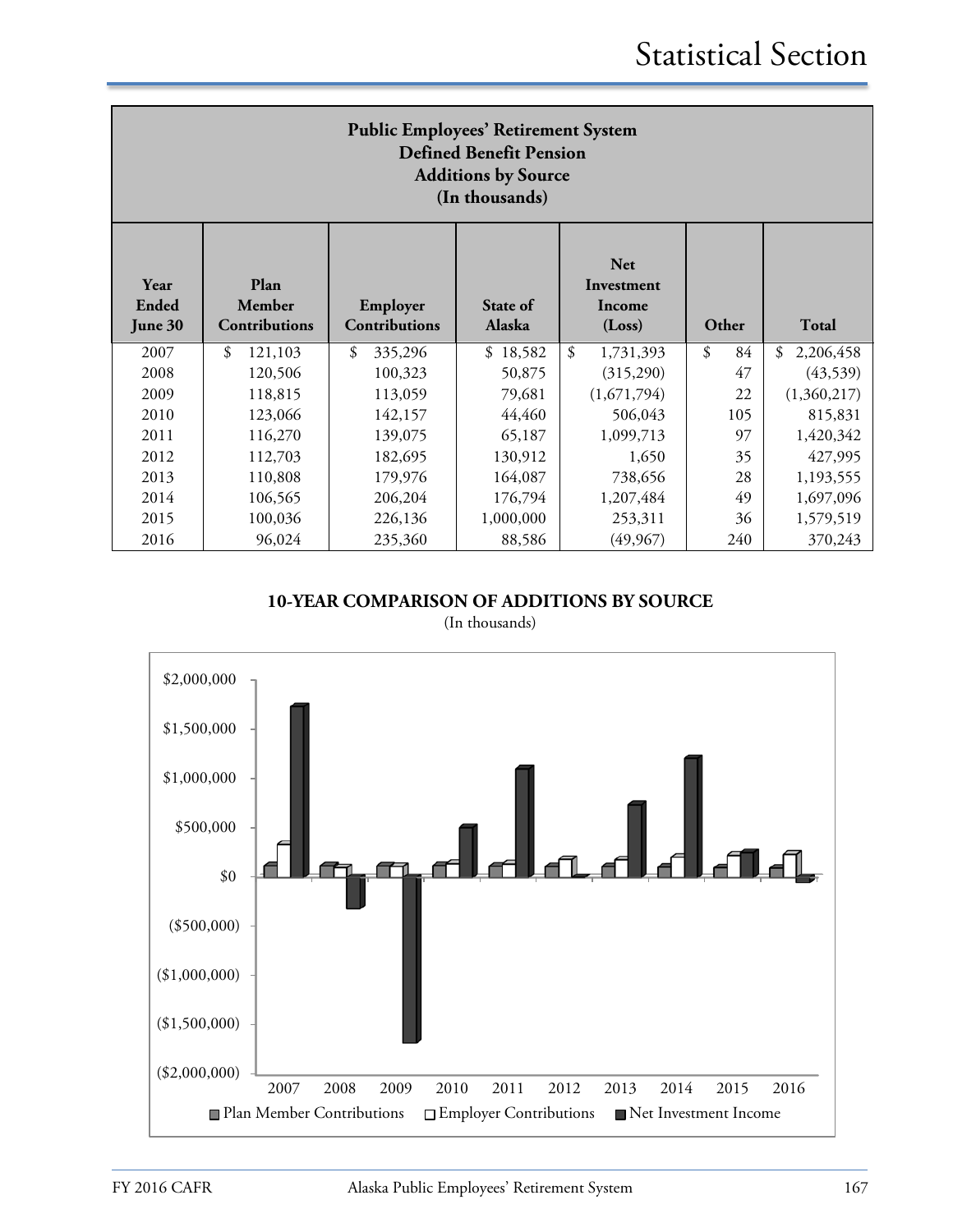| <b>Public Employees' Retirement System</b><br><b>Defined Benefit Pension</b><br><b>Additions by Source</b><br>(In thousands) |                                 |                           |                    |                                              |                                  |                 |  |
|------------------------------------------------------------------------------------------------------------------------------|---------------------------------|---------------------------|--------------------|----------------------------------------------|----------------------------------|-----------------|--|
| Year<br>Ended<br>June 30                                                                                                     | Plan<br>Member<br>Contributions | Employer<br>Contributions | State of<br>Alaska | <b>Net</b><br>Investment<br>Income<br>(Loss) | Other                            | Total           |  |
| 2007                                                                                                                         | $\mathfrak{L}$<br>121,103       | \$<br>335,296             | \$18,582           | \$<br>1,731,393                              | $\boldsymbol{\mathcal{S}}$<br>84 | 2,206,458<br>\$ |  |
| 2008                                                                                                                         | 120,506                         | 100,323                   | 50,875             | (315,290)                                    | 47                               | (43,539)        |  |
| 2009                                                                                                                         | 118,815                         | 113,059                   | 79,681             | (1,671,794)                                  | 22                               | (1,360,217)     |  |
| 2010                                                                                                                         | 123,066                         | 142,157                   | 44,460             | 506,043                                      | 105                              | 815,831         |  |
| 2011                                                                                                                         | 116,270                         | 139,075                   | 65,187             | 1,099,713                                    | 97                               | 1,420,342       |  |
| 2012                                                                                                                         | 112,703                         | 182,695                   | 130,912            | 1,650                                        | 35                               | 427,995         |  |
| 2013                                                                                                                         | 110,808                         | 179,976                   | 164,087            | 738,656                                      | 28                               | 1,193,555       |  |
| 2014                                                                                                                         | 106,565                         | 206,204                   | 176,794            | 1,207,484                                    | 49                               | 1,697,096       |  |
| 2015                                                                                                                         | 100,036                         | 226,136                   | 1,000,000          | 253,311                                      | 36                               | 1,579,519       |  |
| 2016                                                                                                                         | 96,024                          | 235,360                   | 88,586             | (49, 967)                                    | 240                              | 370,243         |  |

**10-YEAR COMPARISON OF ADDITIONS BY SOURCE**

(In thousands)

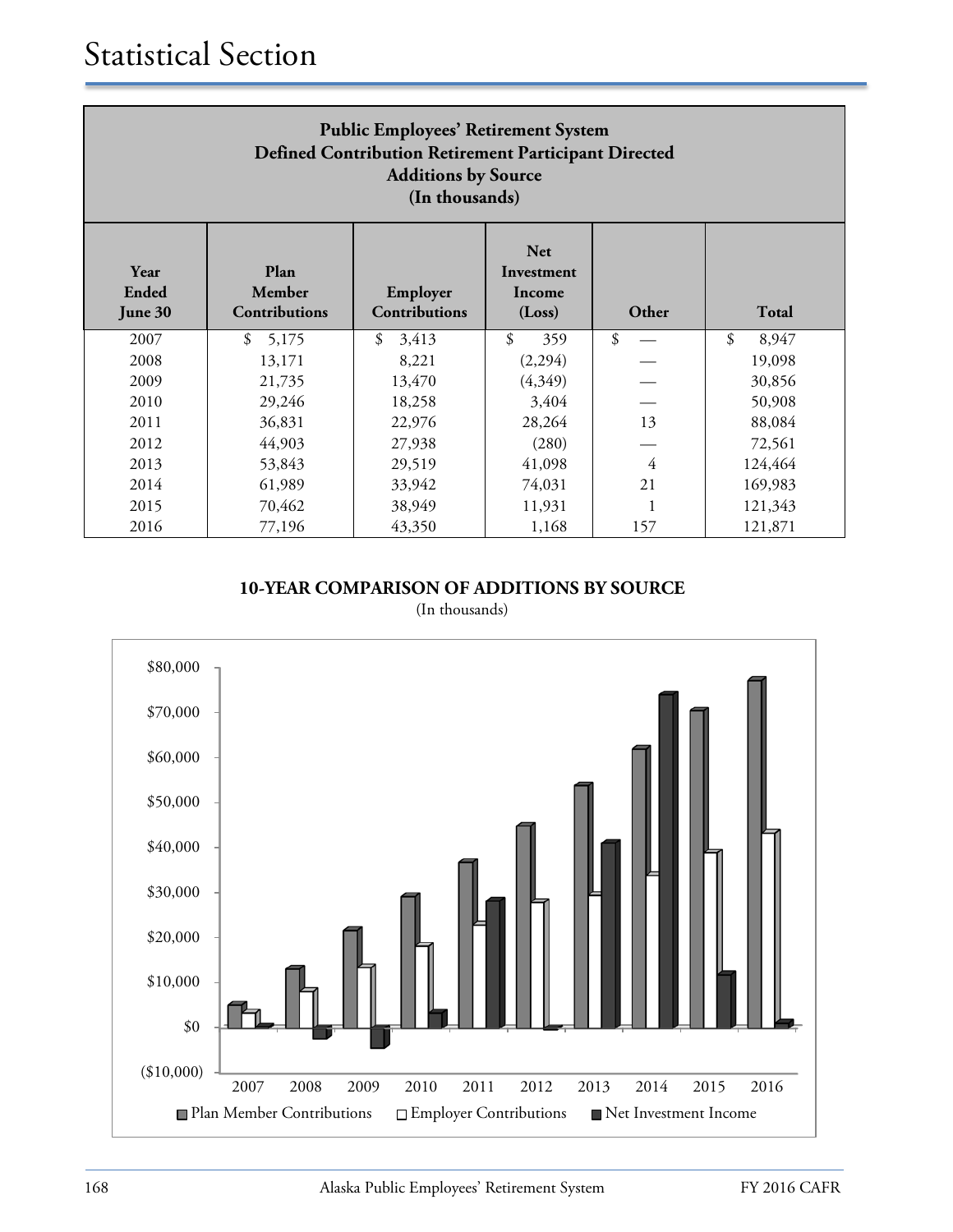| <b>Public Employees' Retirement System</b><br>Defined Contribution Retirement Participant Directed<br><b>Additions by Source</b><br>(In thousands) |                                        |                                  |                                              |       |             |  |
|----------------------------------------------------------------------------------------------------------------------------------------------------|----------------------------------------|----------------------------------|----------------------------------------------|-------|-------------|--|
| Year<br>Ended<br>June 30                                                                                                                           | Plan<br>Member<br><b>Contributions</b> | Employer<br><b>Contributions</b> | <b>Net</b><br>Investment<br>Income<br>(Loss) | Other | Total       |  |
| 2007                                                                                                                                               | \$<br>5,175                            | \$<br>3,413                      | \$<br>359                                    | \$    | \$<br>8,947 |  |
| 2008                                                                                                                                               | 13,171                                 | 8,221                            | (2,294)                                      |       | 19,098      |  |
| 2009                                                                                                                                               | 21,735                                 | 13,470                           | (4,349)                                      |       | 30,856      |  |
| 2010                                                                                                                                               | 29,246                                 | 18,258                           | 3,404                                        |       | 50,908      |  |
| 2011                                                                                                                                               | 36,831                                 | 22,976                           | 28,264                                       | 13    | 88,084      |  |
| 2012                                                                                                                                               | 44,903                                 | 27,938                           | (280)                                        |       | 72,561      |  |
| 2013                                                                                                                                               | 53,843                                 | 29,519                           | 41,098                                       | 4     | 124,464     |  |
| 2014                                                                                                                                               | 61,989                                 | 33,942                           | 74,031                                       | 21    | 169,983     |  |
| 2015                                                                                                                                               | 70,462                                 | 38,949                           | 11,931                                       |       | 121,343     |  |
| 2016                                                                                                                                               | 77,196                                 | 43,350                           | 1,168                                        | 157   | 121,871     |  |

(In thousands)

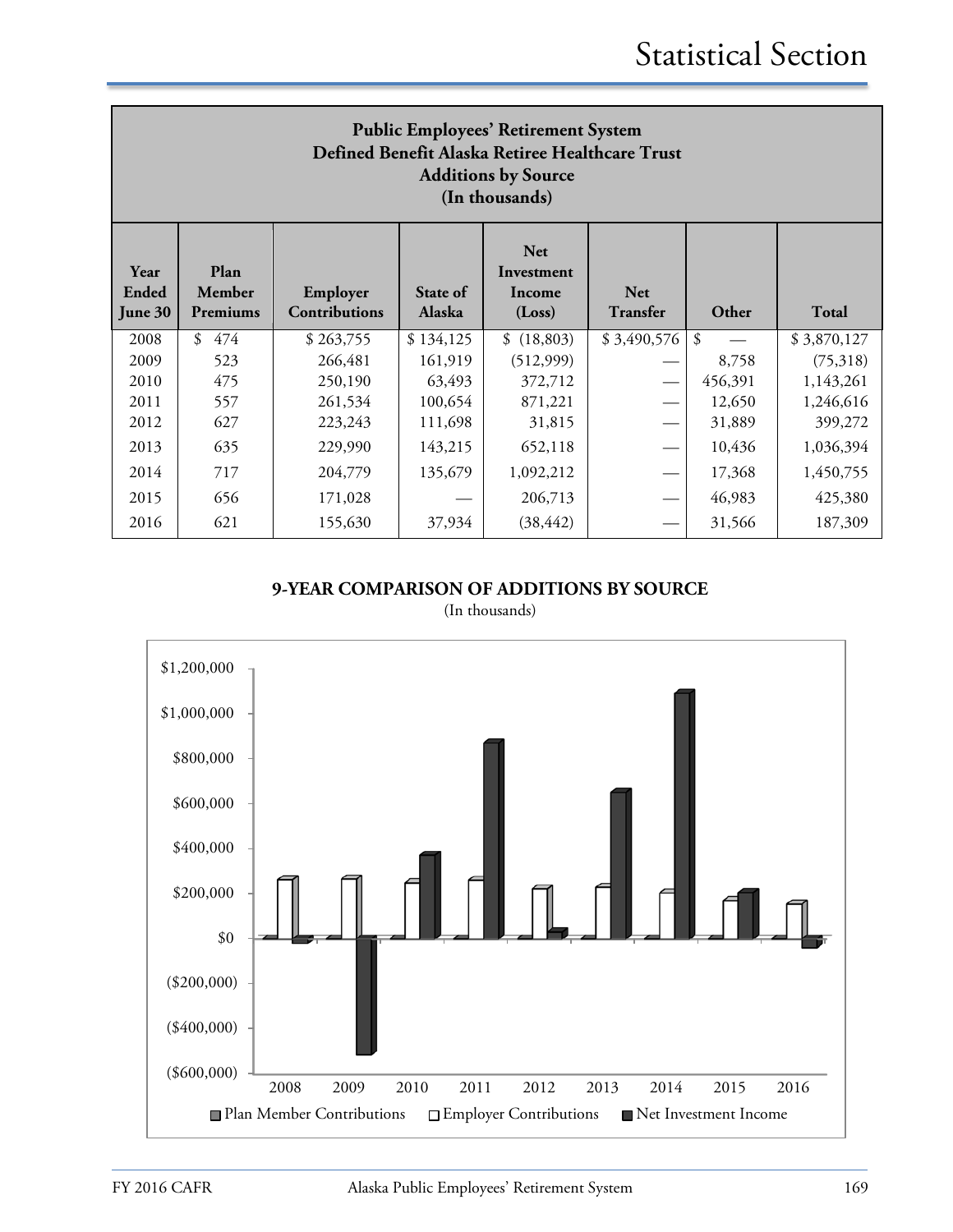| <b>Public Employees' Retirement System</b><br>Defined Benefit Alaska Retiree Healthcare Trust<br><b>Additions by Source</b><br>(In thousands) |                            |                                  |                    |                                              |                               |         |              |  |
|-----------------------------------------------------------------------------------------------------------------------------------------------|----------------------------|----------------------------------|--------------------|----------------------------------------------|-------------------------------|---------|--------------|--|
| Year<br>Ended<br>June 30                                                                                                                      | Plan<br>Member<br>Premiums | Employer<br><b>Contributions</b> | State of<br>Alaska | <b>Net</b><br>Investment<br>Income<br>(Loss) | <b>Net</b><br><b>Transfer</b> | Other   | <b>Total</b> |  |
| 2008                                                                                                                                          | 474<br>$\mathcal{S}$       | \$263,755                        | \$134,125          | \$(18,803)                                   | \$3,490,576                   | \$      | \$3,870,127  |  |
| 2009                                                                                                                                          | 523                        | 266,481                          | 161,919            | (512,999)                                    |                               | 8,758   | (75,318)     |  |
| 2010                                                                                                                                          | 475                        | 250,190                          | 63,493             | 372,712                                      |                               | 456,391 | 1,143,261    |  |
| 2011                                                                                                                                          | 557                        | 261,534                          | 100,654            | 871,221                                      |                               | 12,650  | 1,246,616    |  |
| 2012                                                                                                                                          | 627                        | 223,243                          | 111,698            | 31,815                                       |                               | 31,889  | 399,272      |  |
| 2013                                                                                                                                          | 635                        | 229,990                          | 143,215            | 652,118                                      |                               | 10,436  | 1,036,394    |  |
| 2014                                                                                                                                          | 717                        | 204,779                          | 135,679            | 1,092,212                                    |                               | 17,368  | 1,450,755    |  |
| 2015                                                                                                                                          | 656                        | 171,028                          |                    | 206,713                                      |                               | 46,983  | 425,380      |  |
| 2016                                                                                                                                          | 621                        | 155,630                          | 37,934             | (38, 442)                                    |                               | 31,566  | 187,309      |  |

(In thousands)

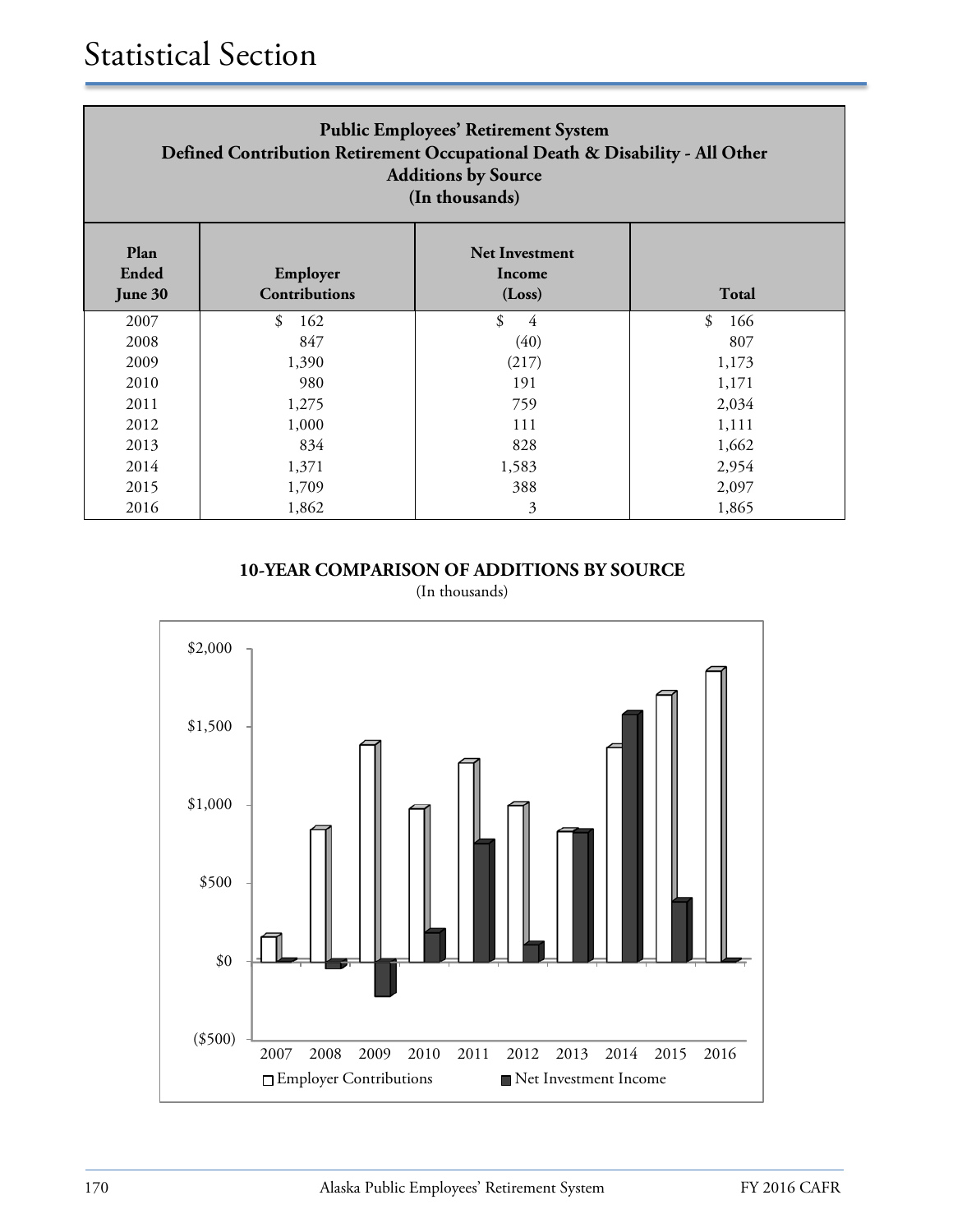| <b>Public Employees' Retirement System</b><br>Defined Contribution Retirement Occupational Death & Disability - All Other<br><b>Additions by Source</b><br>(In thousands) |                                  |                                           |                      |  |  |  |  |
|---------------------------------------------------------------------------------------------------------------------------------------------------------------------------|----------------------------------|-------------------------------------------|----------------------|--|--|--|--|
| Plan<br>Ended<br>June 30                                                                                                                                                  | Employer<br><b>Contributions</b> | <b>Net Investment</b><br>Income<br>(Loss) | Total                |  |  |  |  |
| 2007                                                                                                                                                                      | \$<br>162                        | \$<br>4                                   | $\mathcal{S}$<br>166 |  |  |  |  |
| 2008                                                                                                                                                                      | 847                              | (40)                                      | 807                  |  |  |  |  |
| 2009                                                                                                                                                                      | 1,390                            | (217)                                     | 1,173                |  |  |  |  |
| 2010                                                                                                                                                                      | 980                              | 191                                       | 1,171                |  |  |  |  |
| 2011                                                                                                                                                                      | 1,275                            | 759                                       | 2,034                |  |  |  |  |
| 2012                                                                                                                                                                      | 1,000                            | 111                                       | 1,111                |  |  |  |  |
| 2013                                                                                                                                                                      | 834                              | 828                                       | 1,662                |  |  |  |  |
| 2014                                                                                                                                                                      | 1,371                            | 1,583                                     | 2,954                |  |  |  |  |
| 2015                                                                                                                                                                      | 1,709                            | 388                                       | 2,097                |  |  |  |  |
| 2016                                                                                                                                                                      | 1,862                            | 3                                         | 1,865                |  |  |  |  |

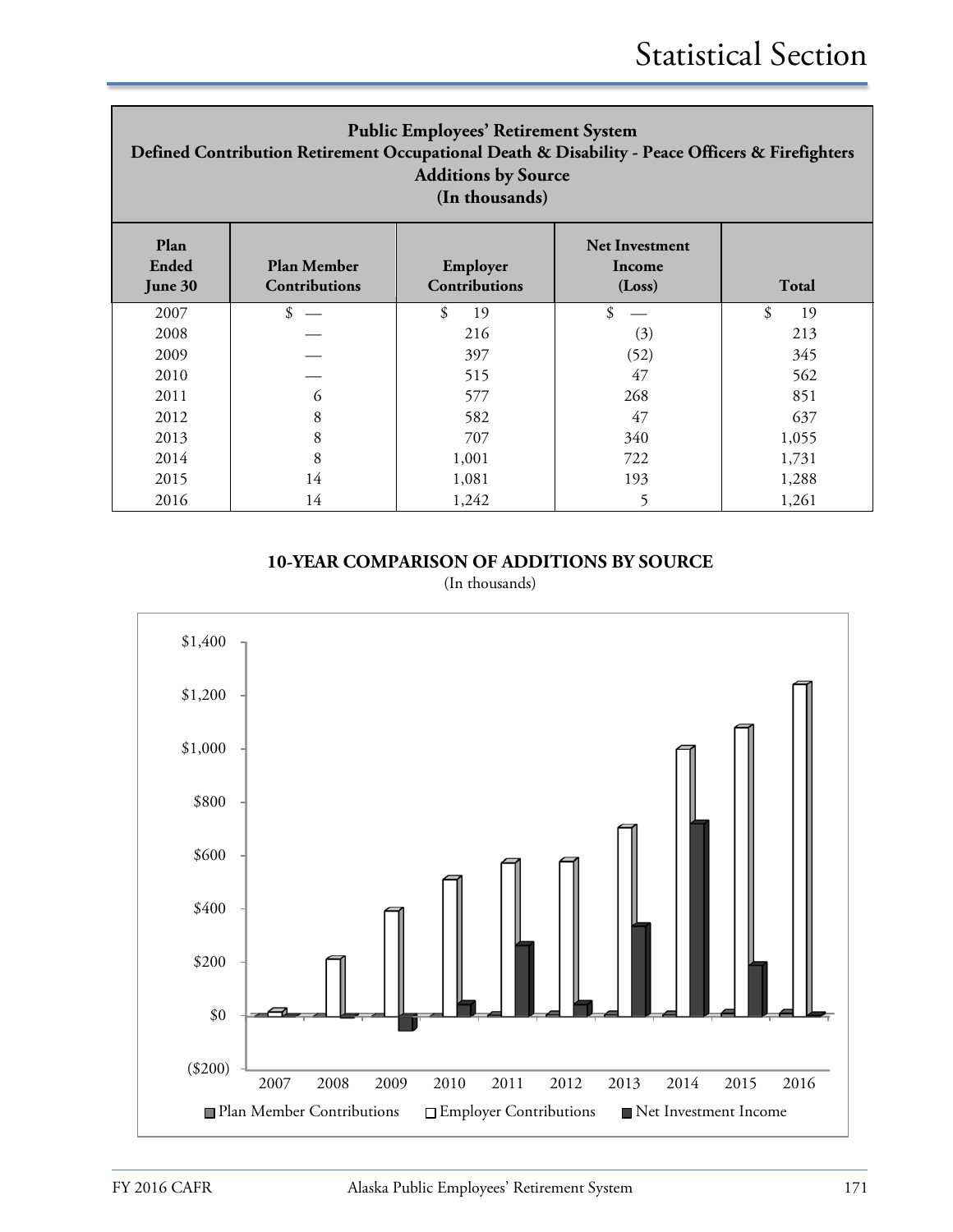| <b>Public Employees' Retirement System</b><br>Defined Contribution Retirement Occupational Death & Disability - Peace Officers & Firefighters<br><b>Additions by Source</b><br>(In thousands) |               |          |      |          |  |  |  |
|-----------------------------------------------------------------------------------------------------------------------------------------------------------------------------------------------|---------------|----------|------|----------|--|--|--|
| Plan<br><b>Net Investment</b><br>Ended<br><b>Plan Member</b><br>Employer<br>Income<br>Contributions<br><b>Contributions</b><br>Total<br>June 30<br>(Loss)                                     |               |          |      |          |  |  |  |
| 2007                                                                                                                                                                                          | $\frac{1}{2}$ | \$<br>19 | \$   | \$<br>19 |  |  |  |
| 2008                                                                                                                                                                                          |               | 216      | (3)  | 213      |  |  |  |
| 2009                                                                                                                                                                                          |               | 397      | (52) | 345      |  |  |  |
| 2010                                                                                                                                                                                          |               | 515      | 47   | 562      |  |  |  |
| 2011                                                                                                                                                                                          | 6             | 577      | 268  | 851      |  |  |  |
| 2012                                                                                                                                                                                          | 8             | 582      | 47   | 637      |  |  |  |
| 2013                                                                                                                                                                                          | 8             | 707      | 340  | 1,055    |  |  |  |
| 2014                                                                                                                                                                                          | 8             | 1,001    | 722  | 1,731    |  |  |  |
| 2015                                                                                                                                                                                          | 14            | 1,081    | 193  | 1,288    |  |  |  |
| 2016                                                                                                                                                                                          | 14            | 1,242    | 5    | 1,261    |  |  |  |

**10-YEAR COMPARISON OF ADDITIONS BY SOURCE**

(In thousands)

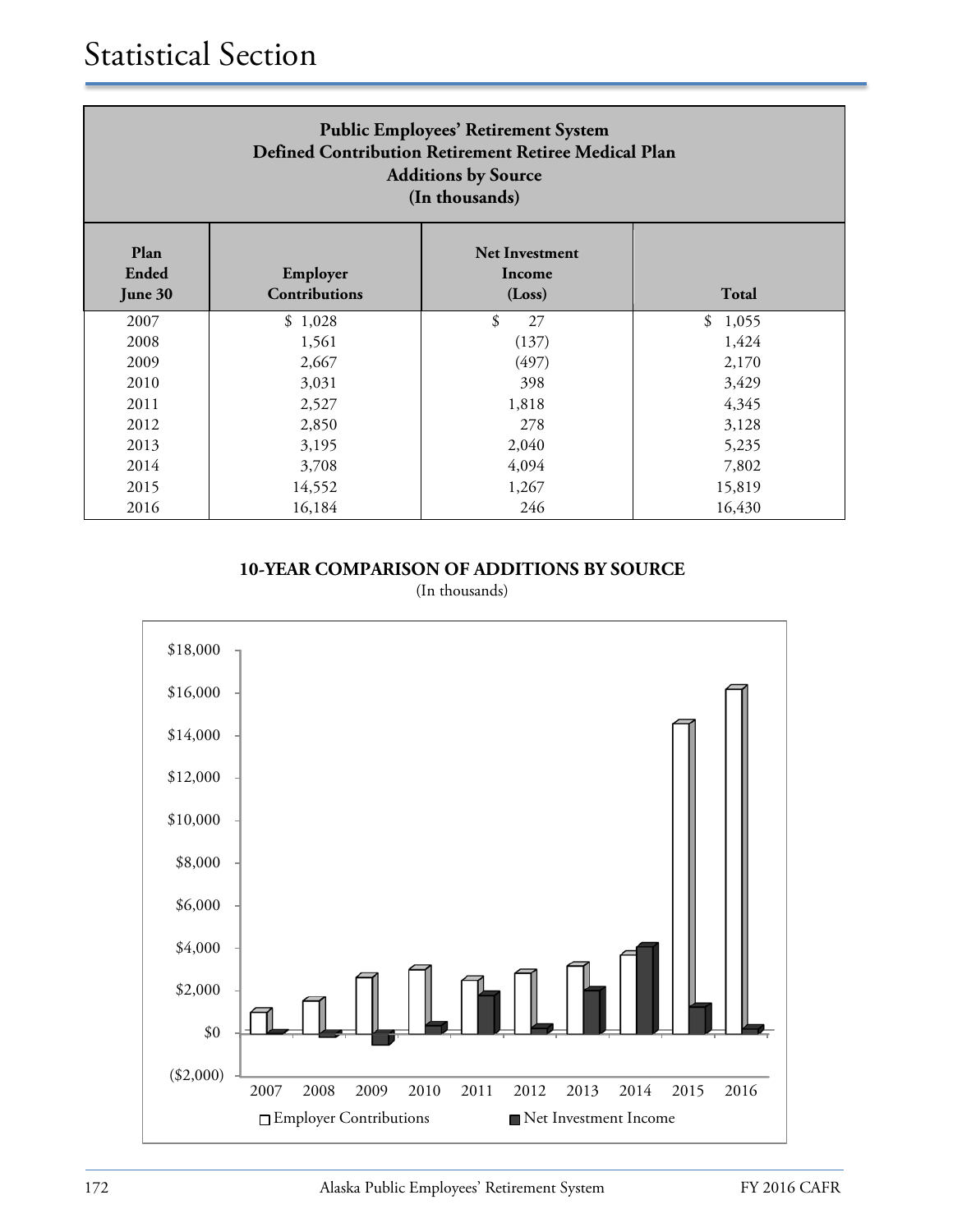| <b>Public Employees' Retirement System</b><br>Defined Contribution Retirement Retiree Medical Plan<br><b>Additions by Source</b><br>(In thousands) |         |          |             |  |  |  |
|----------------------------------------------------------------------------------------------------------------------------------------------------|---------|----------|-------------|--|--|--|
| Plan<br><b>Net Investment</b><br>Ended<br>Employer<br>Income<br><b>Contributions</b><br>Total<br>(Loss)<br>June 30                                 |         |          |             |  |  |  |
| 2007                                                                                                                                               | \$1,028 | \$<br>27 | 1,055<br>\$ |  |  |  |
| 2008                                                                                                                                               | 1,561   | (137)    | 1,424       |  |  |  |
| 2009                                                                                                                                               | 2,667   | (497)    | 2,170       |  |  |  |
| 2010                                                                                                                                               | 3,031   | 398      | 3,429       |  |  |  |
| 2011                                                                                                                                               | 2,527   | 1,818    | 4,345       |  |  |  |
| 2012                                                                                                                                               | 2,850   | 278      | 3,128       |  |  |  |
| 2013                                                                                                                                               | 3,195   | 2,040    | 5,235       |  |  |  |
| 2014                                                                                                                                               | 3,708   | 4,094    | 7,802       |  |  |  |
| 2015                                                                                                                                               | 14,552  | 1,267    | 15,819      |  |  |  |
| 2016                                                                                                                                               | 16,184  | 246      | 16,430      |  |  |  |

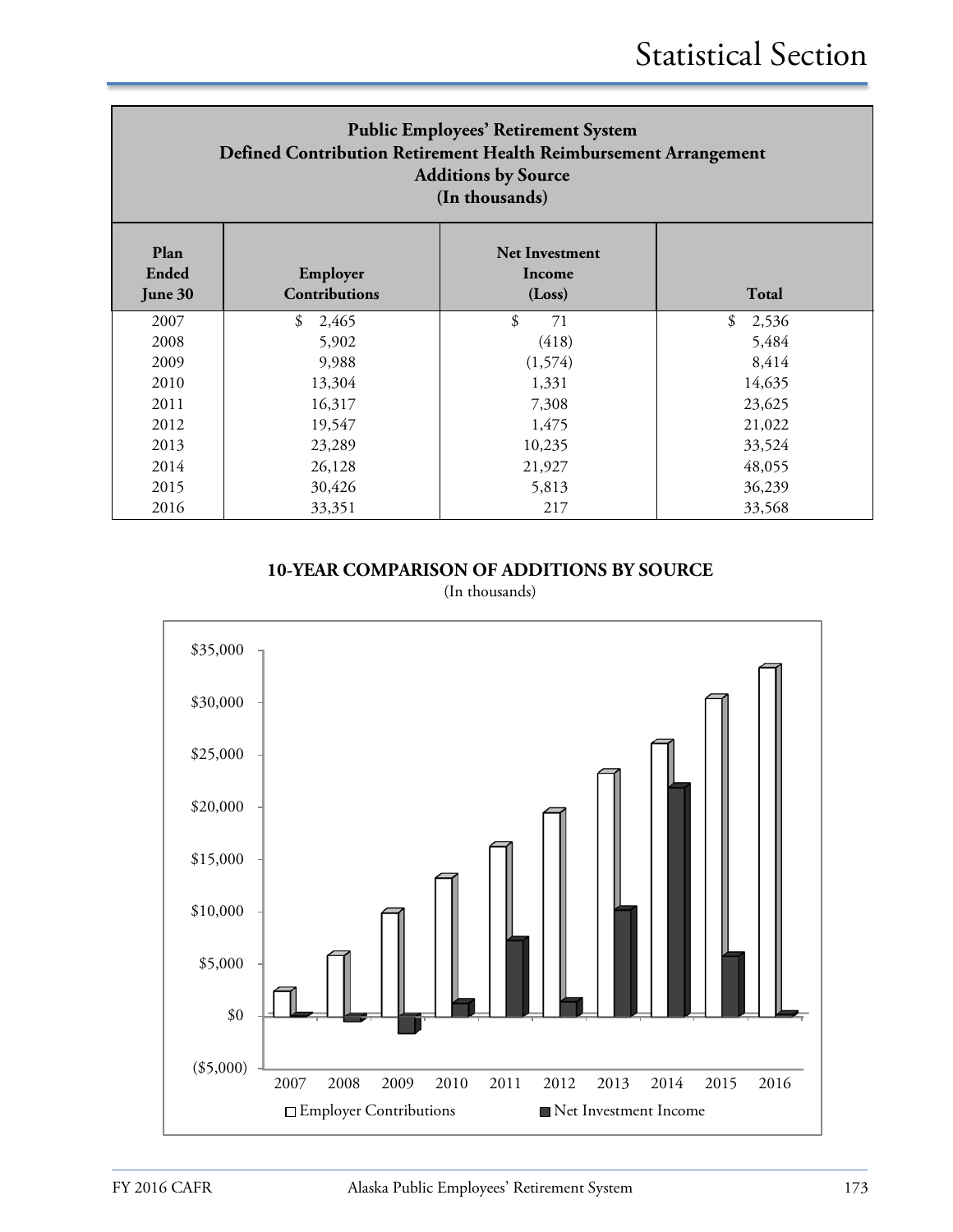| <b>Public Employees' Retirement System</b><br>Defined Contribution Retirement Health Reimbursement Arrangement<br><b>Additions by Source</b><br>(In thousands) |                                  |                                           |             |  |  |
|----------------------------------------------------------------------------------------------------------------------------------------------------------------|----------------------------------|-------------------------------------------|-------------|--|--|
| Plan<br><b>Ended</b><br>June 30                                                                                                                                | Employer<br><b>Contributions</b> | <b>Net Investment</b><br>Income<br>(Loss) | Total       |  |  |
| 2007                                                                                                                                                           | 2,465<br>\$                      | \$<br>71                                  | \$<br>2,536 |  |  |
| 2008                                                                                                                                                           | 5,902                            | (418)                                     | 5,484       |  |  |
| 2009                                                                                                                                                           | 9,988                            | (1, 574)                                  | 8,414       |  |  |
| 2010                                                                                                                                                           | 13,304                           | 1,331                                     | 14,635      |  |  |
| 2011                                                                                                                                                           | 16,317                           | 7,308                                     | 23,625      |  |  |
| 2012                                                                                                                                                           | 19,547                           | 1,475                                     | 21,022      |  |  |
| 2013                                                                                                                                                           | 23,289                           | 10,235                                    | 33,524      |  |  |
| 2014                                                                                                                                                           | 26,128                           | 21,927                                    | 48,055      |  |  |
| 2015                                                                                                                                                           | 30,426                           | 5,813                                     | 36,239      |  |  |
| 2016                                                                                                                                                           | 33,351                           | 217                                       | 33,568      |  |  |

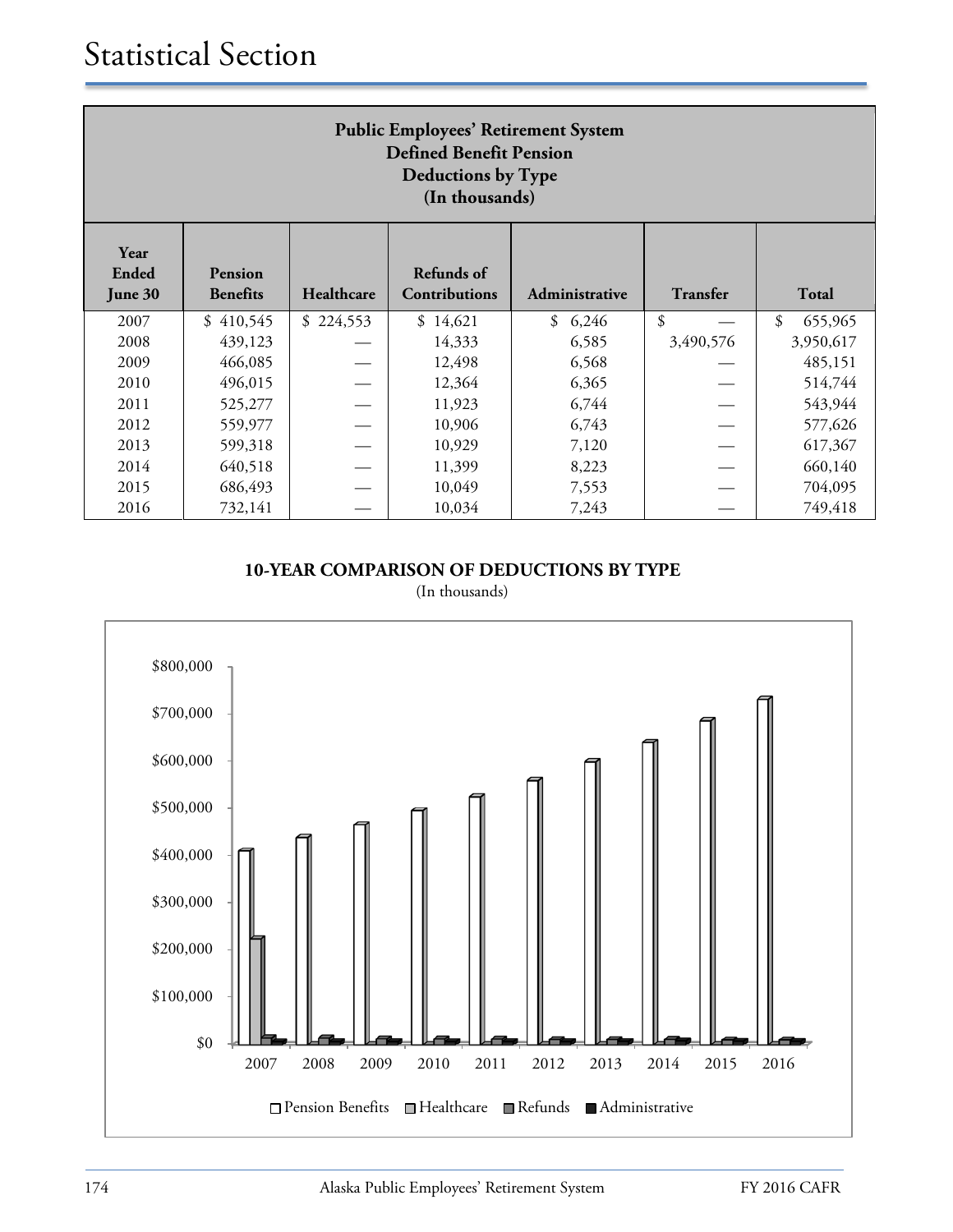| <b>Public Employees' Retirement System</b><br><b>Defined Benefit Pension</b><br><b>Deductions by Type</b><br>(In thousands)                                     |           |           |          |             |           |               |  |
|-----------------------------------------------------------------------------------------------------------------------------------------------------------------|-----------|-----------|----------|-------------|-----------|---------------|--|
| Year<br><b>Refunds</b> of<br>Ended<br>Pension<br>Healthcare<br><b>Contributions</b><br>Transfer<br><b>Total</b><br><b>Benefits</b><br>Administrative<br>June 30 |           |           |          |             |           |               |  |
| 2007                                                                                                                                                            | \$410,545 | \$224,553 | \$14,621 | 6,246<br>\$ | \$        | \$<br>655,965 |  |
| 2008                                                                                                                                                            | 439,123   |           | 14,333   | 6,585       | 3,490,576 | 3,950,617     |  |
| 2009                                                                                                                                                            | 466,085   |           | 12,498   | 6,568       |           | 485,151       |  |
| 2010                                                                                                                                                            | 496,015   |           | 12,364   | 6,365       |           | 514,744       |  |
| 2011                                                                                                                                                            | 525,277   |           | 11,923   | 6,744       |           | 543,944       |  |
| 2012                                                                                                                                                            | 559,977   |           | 10,906   | 6,743       |           | 577,626       |  |
| 2013                                                                                                                                                            | 599,318   |           | 10,929   | 7,120       |           | 617,367       |  |
| 2014                                                                                                                                                            | 640,518   |           | 11,399   | 8,223       |           | 660,140       |  |
| 2015                                                                                                                                                            | 686,493   |           | 10,049   | 7,553       |           | 704,095       |  |
| 2016                                                                                                                                                            | 732,141   |           | 10,034   | 7,243       |           | 749,418       |  |

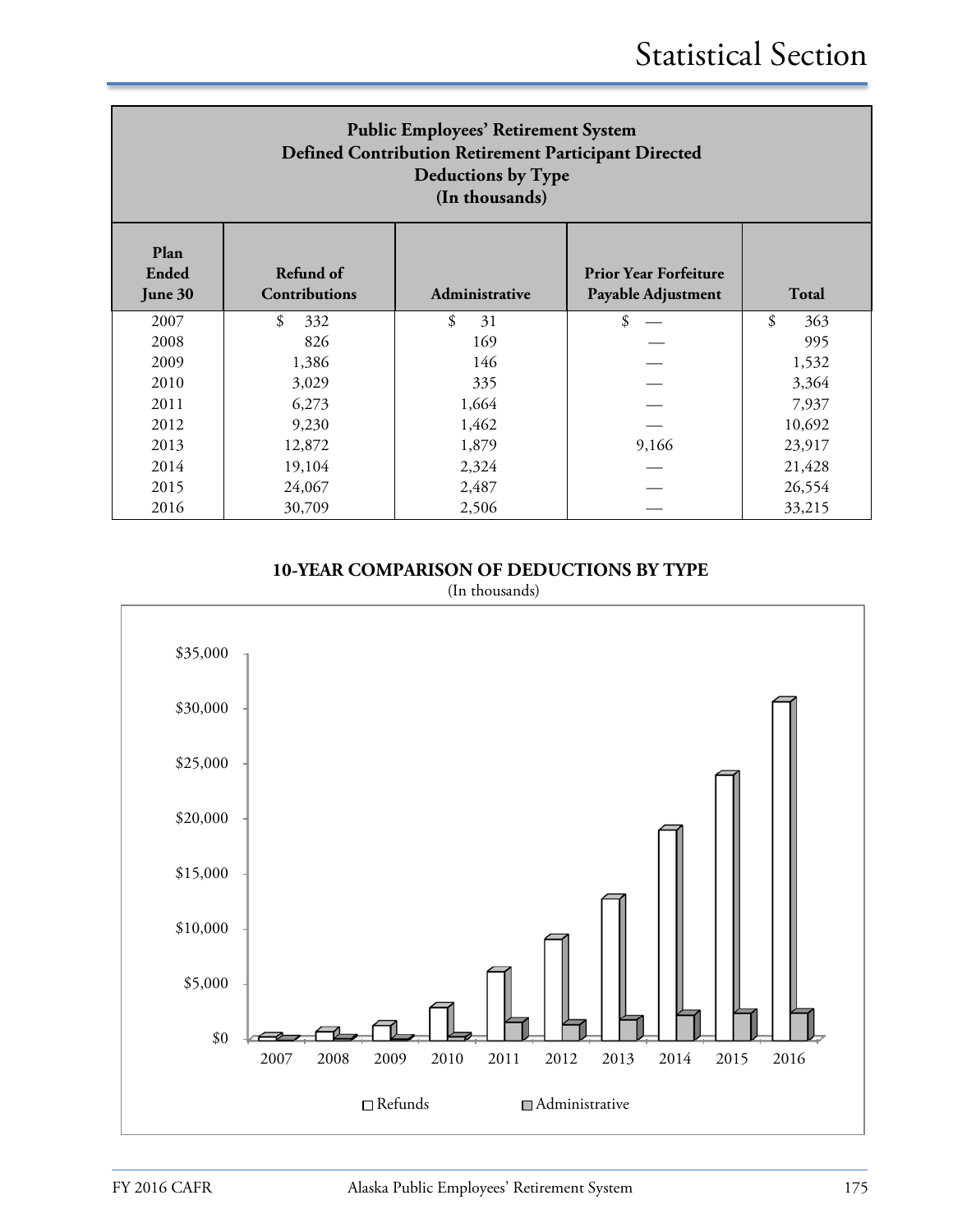| <b>Public Employees' Retirement System</b><br>Defined Contribution Retirement Participant Directed<br><b>Deductions by Type</b><br>(In thousands)                   |           |          |       |           |  |  |
|---------------------------------------------------------------------------------------------------------------------------------------------------------------------|-----------|----------|-------|-----------|--|--|
| Plan<br><b>Ended</b><br>Refund of<br><b>Prior Year Forfeiture</b><br><b>Contributions</b><br>Payable Adjustment<br><b>Total</b><br>June 30<br><b>Administrative</b> |           |          |       |           |  |  |
| 2007                                                                                                                                                                | \$<br>332 | \$<br>31 | \$    | \$<br>363 |  |  |
| 2008                                                                                                                                                                | 826       | 169      |       | 995       |  |  |
| 2009                                                                                                                                                                | 1,386     | 146      |       | 1,532     |  |  |
| 2010                                                                                                                                                                | 3,029     | 335      |       | 3,364     |  |  |
| 2011                                                                                                                                                                | 6,273     | 1,664    |       | 7,937     |  |  |
| 2012                                                                                                                                                                | 9,230     | 1,462    |       | 10,692    |  |  |
| 2013                                                                                                                                                                | 12,872    | 1,879    | 9,166 | 23,917    |  |  |
| 2014                                                                                                                                                                | 19,104    | 2,324    |       | 21,428    |  |  |
| 2015                                                                                                                                                                | 24,067    | 2,487    |       | 26,554    |  |  |
| 2016                                                                                                                                                                | 30,709    | 2,506    |       | 33,215    |  |  |

**10-YEAR COMPARISON OF DEDUCTIONS BY TYPE**



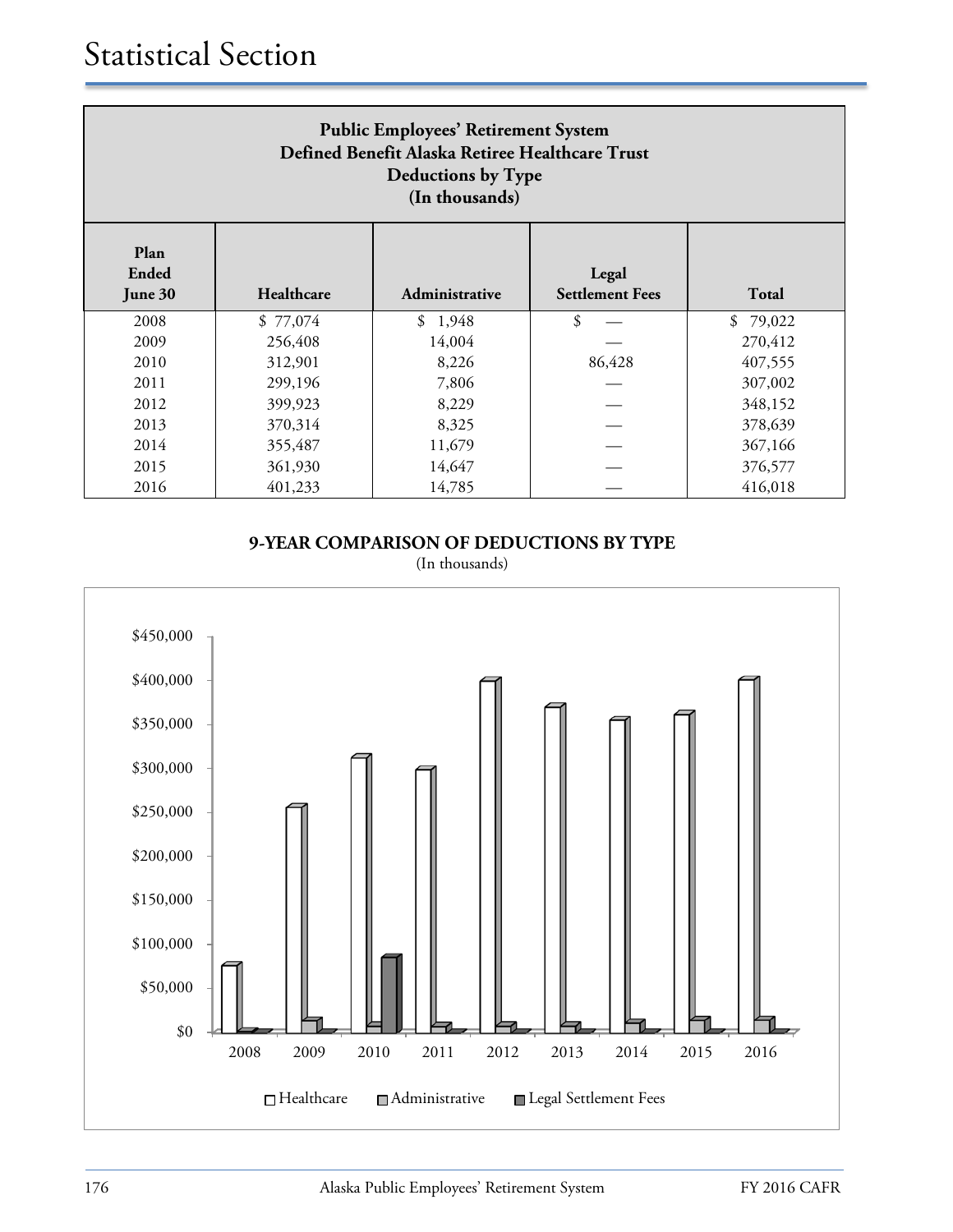| <b>Public Employees' Retirement System</b><br>Defined Benefit Alaska Retiree Healthcare Trust<br><b>Deductions by Type</b><br>(In thousands) |          |             |        |          |  |  |  |
|----------------------------------------------------------------------------------------------------------------------------------------------|----------|-------------|--------|----------|--|--|--|
| Plan<br>Ended<br>Legal<br>Healthcare<br><b>Settlement Fees</b><br>Total<br>June 30<br>Administrative                                         |          |             |        |          |  |  |  |
| 2008                                                                                                                                         | \$77,074 | \$<br>1,948 | \$     | \$79,022 |  |  |  |
| 2009                                                                                                                                         | 256,408  | 14,004      |        | 270,412  |  |  |  |
| 2010                                                                                                                                         | 312,901  | 8,226       | 86,428 | 407,555  |  |  |  |
| 2011                                                                                                                                         | 299,196  | 7,806       |        | 307,002  |  |  |  |
| 2012                                                                                                                                         | 399,923  | 8,229       |        | 348,152  |  |  |  |
| 2013                                                                                                                                         | 370,314  | 8,325       |        | 378,639  |  |  |  |
| 2014                                                                                                                                         | 355,487  | 11,679      |        | 367,166  |  |  |  |
| 2015                                                                                                                                         | 361,930  | 14,647      |        | 376,577  |  |  |  |
| 2016                                                                                                                                         | 401,233  | 14,785      |        | 416,018  |  |  |  |

**9-YEAR COMPARISON OF DEDUCTIONS BY TYPE**

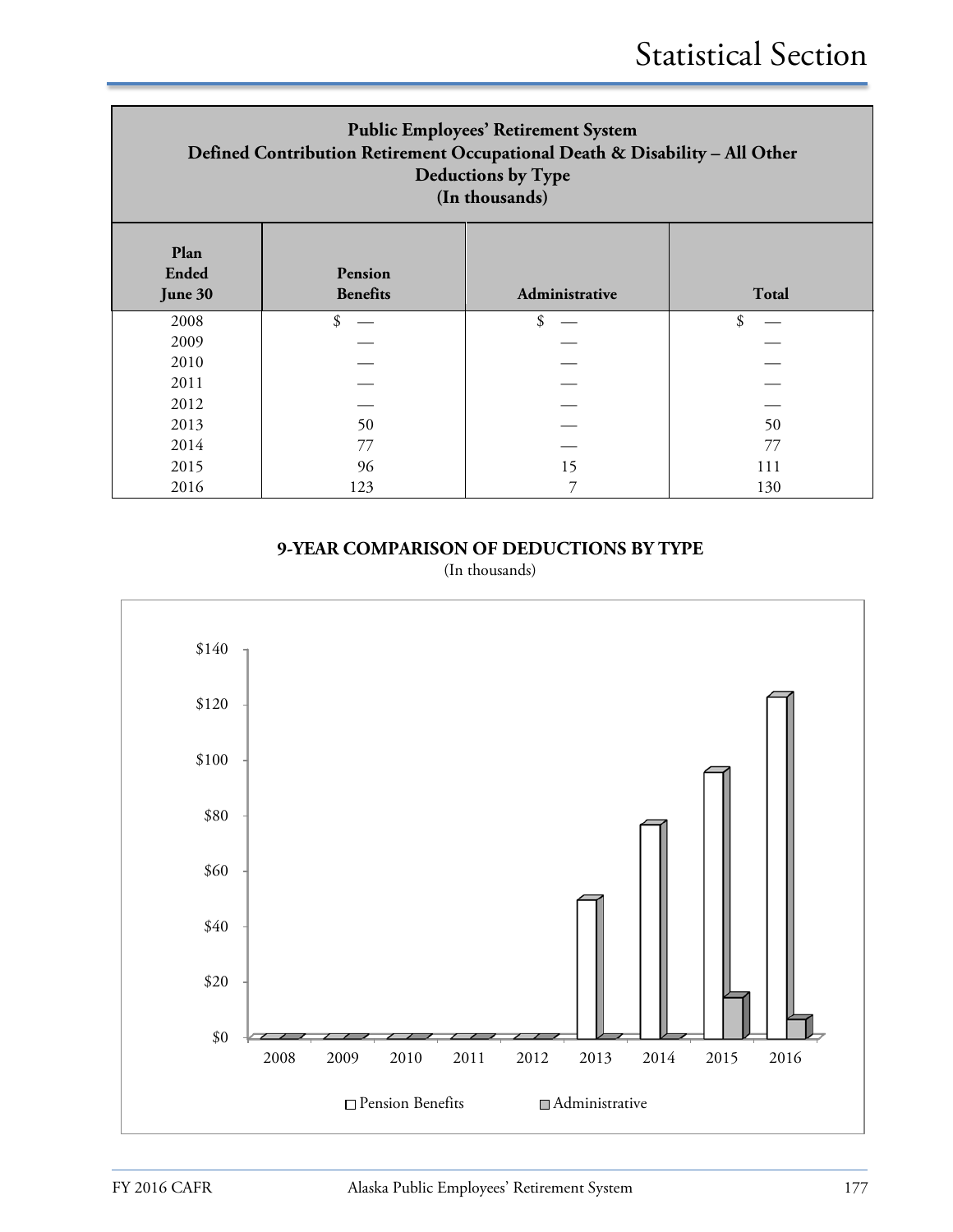| <b>Public Employees' Retirement System</b><br>Defined Contribution Retirement Occupational Death & Disability - All Other<br>Deductions by Type<br>(In thousands) |                            |                |              |  |  |
|-------------------------------------------------------------------------------------------------------------------------------------------------------------------|----------------------------|----------------|--------------|--|--|
| Plan<br>Ended<br>June 30                                                                                                                                          | Pension<br><b>Benefits</b> | Administrative | <b>Total</b> |  |  |
| 2008                                                                                                                                                              | \$                         | \$             | \$           |  |  |
| 2009                                                                                                                                                              |                            |                |              |  |  |
| 2010                                                                                                                                                              |                            |                |              |  |  |
| 2011                                                                                                                                                              |                            |                |              |  |  |
| 2012                                                                                                                                                              |                            |                |              |  |  |
| 2013                                                                                                                                                              | 50                         |                | 50           |  |  |
| 2014                                                                                                                                                              | 77                         |                | 77           |  |  |
| 2015                                                                                                                                                              | 96                         | 15             | 111          |  |  |
| 2016                                                                                                                                                              | 123                        | 7              | 130          |  |  |

**9-YEAR COMPARISON OF DEDUCTIONS BY TYPE**

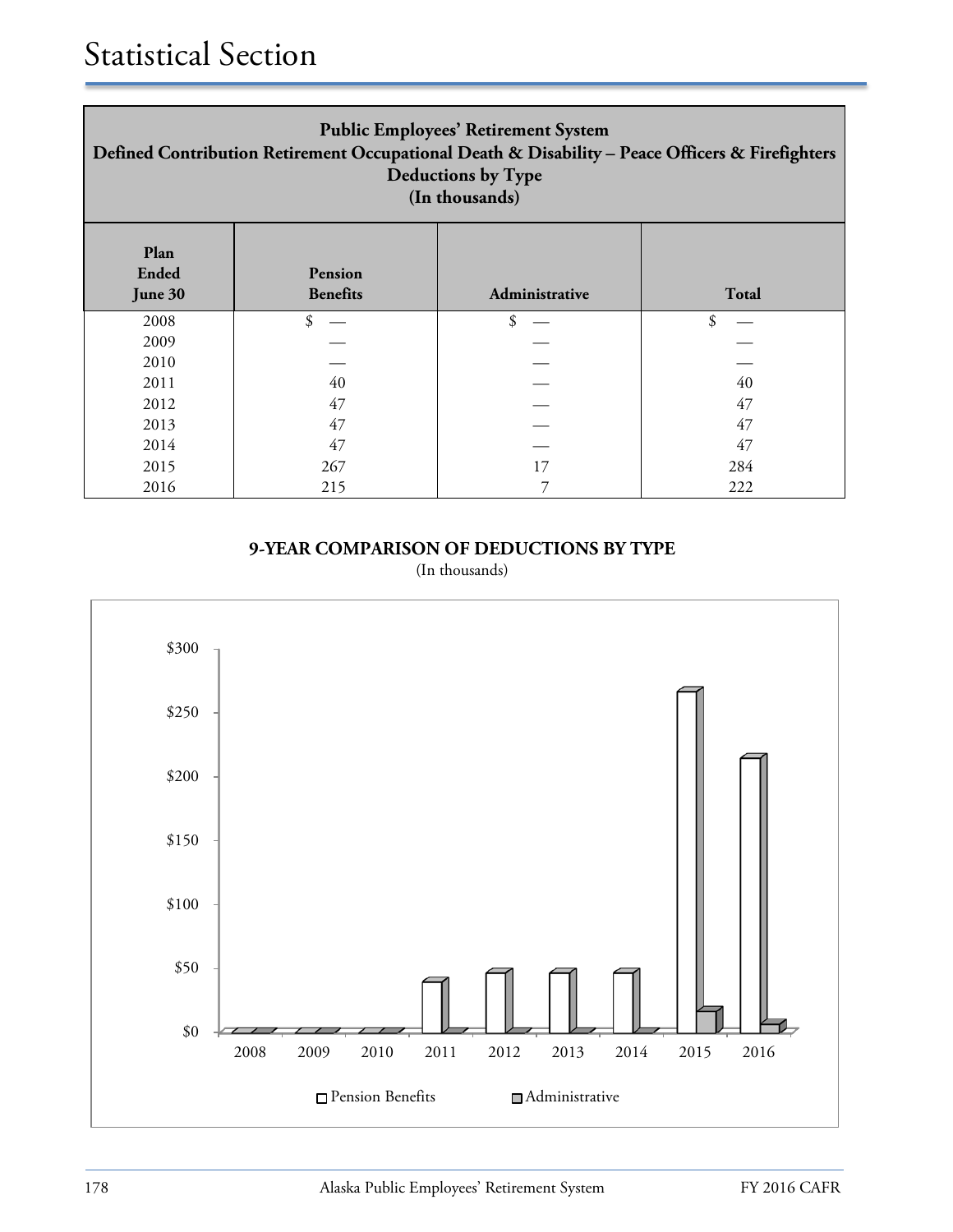| <b>Public Employees' Retirement System</b><br>Defined Contribution Retirement Occupational Death & Disability - Peace Officers & Firefighters<br><b>Deductions by Type</b><br>(In thousands) |                            |                |              |  |
|----------------------------------------------------------------------------------------------------------------------------------------------------------------------------------------------|----------------------------|----------------|--------------|--|
| Plan<br><b>Ended</b><br>June 30                                                                                                                                                              | Pension<br><b>Benefits</b> | Administrative | <b>Total</b> |  |
| 2008                                                                                                                                                                                         | \$                         | \$             | \$           |  |
| 2009                                                                                                                                                                                         |                            |                |              |  |
| 2010                                                                                                                                                                                         |                            |                |              |  |
| 2011                                                                                                                                                                                         | 40                         |                | 40           |  |
| 2012                                                                                                                                                                                         | 47                         |                | 47           |  |
| 2013                                                                                                                                                                                         | 47                         |                | 47           |  |
| 2014                                                                                                                                                                                         | 47                         |                | 47           |  |
| 2015                                                                                                                                                                                         | 267                        | 17             | 284          |  |
| 2016                                                                                                                                                                                         | 215                        |                | 222          |  |

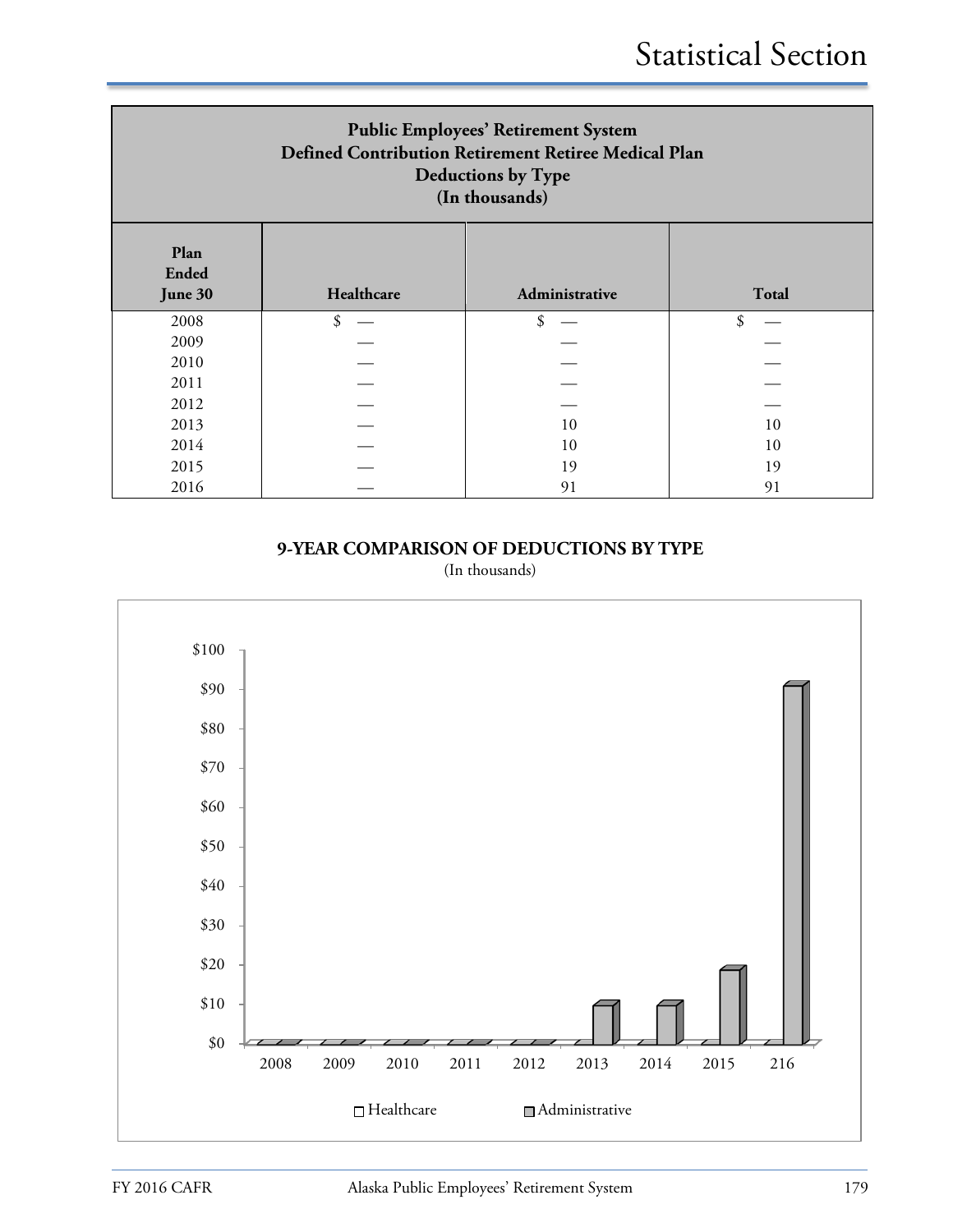| <b>Public Employees' Retirement System</b><br>Defined Contribution Retirement Retiree Medical Plan<br><b>Deductions by Type</b><br>(In thousands) |    |    |    |  |  |  |
|---------------------------------------------------------------------------------------------------------------------------------------------------|----|----|----|--|--|--|
| Plan<br><b>Ended</b><br>Healthcare<br>Administrative<br><b>Total</b><br>June 30                                                                   |    |    |    |  |  |  |
| 2008                                                                                                                                              | \$ | \$ | \$ |  |  |  |
| 2009                                                                                                                                              |    |    |    |  |  |  |
| 2010                                                                                                                                              |    |    |    |  |  |  |
| 2011                                                                                                                                              |    |    |    |  |  |  |
| 2012                                                                                                                                              |    |    |    |  |  |  |
| 2013                                                                                                                                              |    | 10 | 10 |  |  |  |
| 2014                                                                                                                                              |    | 10 | 10 |  |  |  |
| 2015                                                                                                                                              |    | 19 | 19 |  |  |  |
| 2016                                                                                                                                              |    | 91 | 91 |  |  |  |

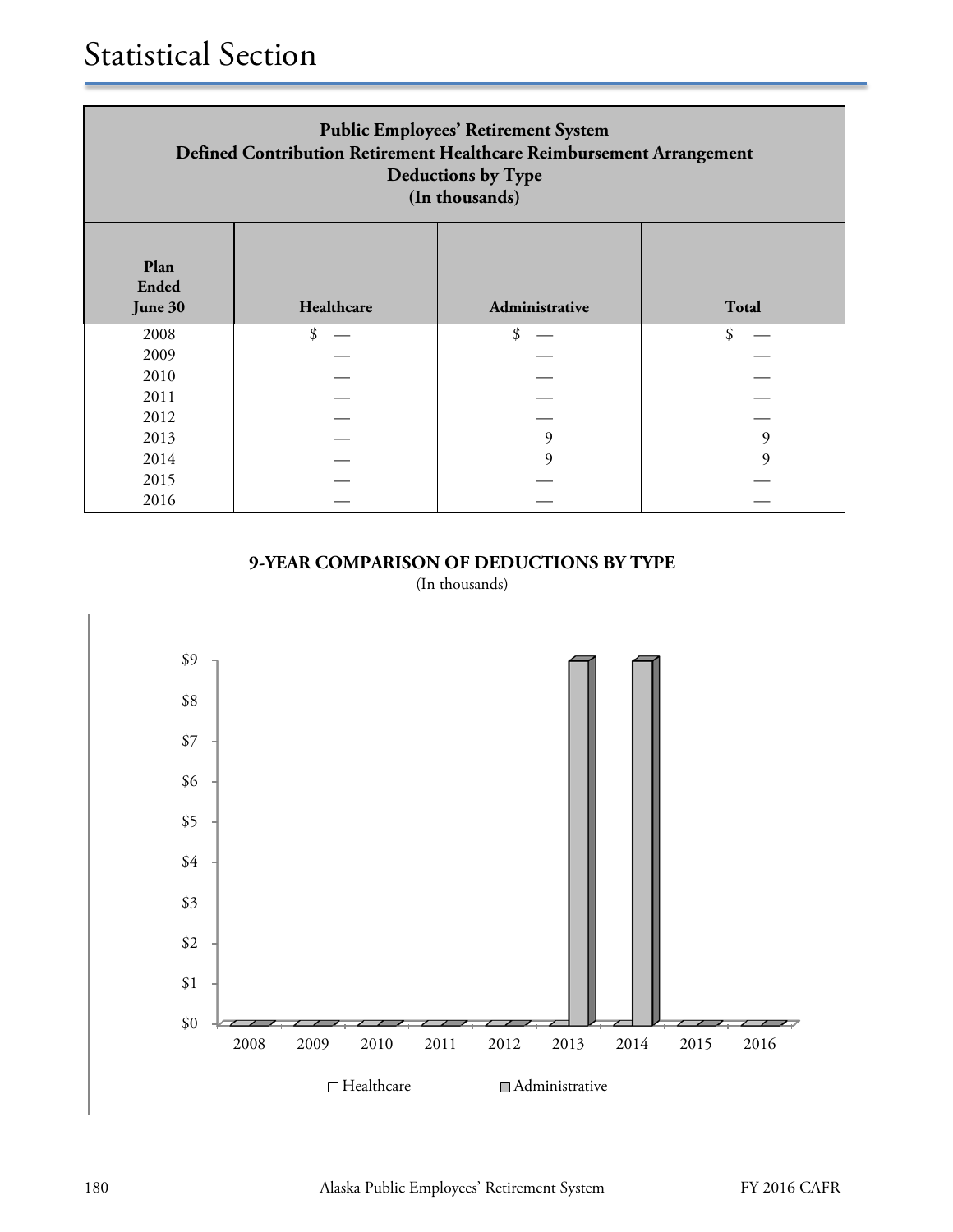| <b>Public Employees' Retirement System</b><br>Defined Contribution Retirement Healthcare Reimbursement Arrangement<br><b>Deductions by Type</b><br>(In thousands) |                            |    |   |  |  |  |
|-------------------------------------------------------------------------------------------------------------------------------------------------------------------|----------------------------|----|---|--|--|--|
| Plan<br><b>Ended</b><br>Healthcare<br><b>Total</b><br>Administrative<br>June 30                                                                                   |                            |    |   |  |  |  |
| 2008                                                                                                                                                              | $\boldsymbol{\mathcal{S}}$ | \$ |   |  |  |  |
| 2009                                                                                                                                                              |                            |    |   |  |  |  |
| 2010                                                                                                                                                              |                            |    |   |  |  |  |
| 2011                                                                                                                                                              |                            |    |   |  |  |  |
| 2012                                                                                                                                                              |                            |    |   |  |  |  |
| 2013                                                                                                                                                              |                            | q  | 9 |  |  |  |
| 2014                                                                                                                                                              |                            |    | q |  |  |  |
| 2015                                                                                                                                                              |                            |    |   |  |  |  |
| 2016                                                                                                                                                              |                            |    |   |  |  |  |

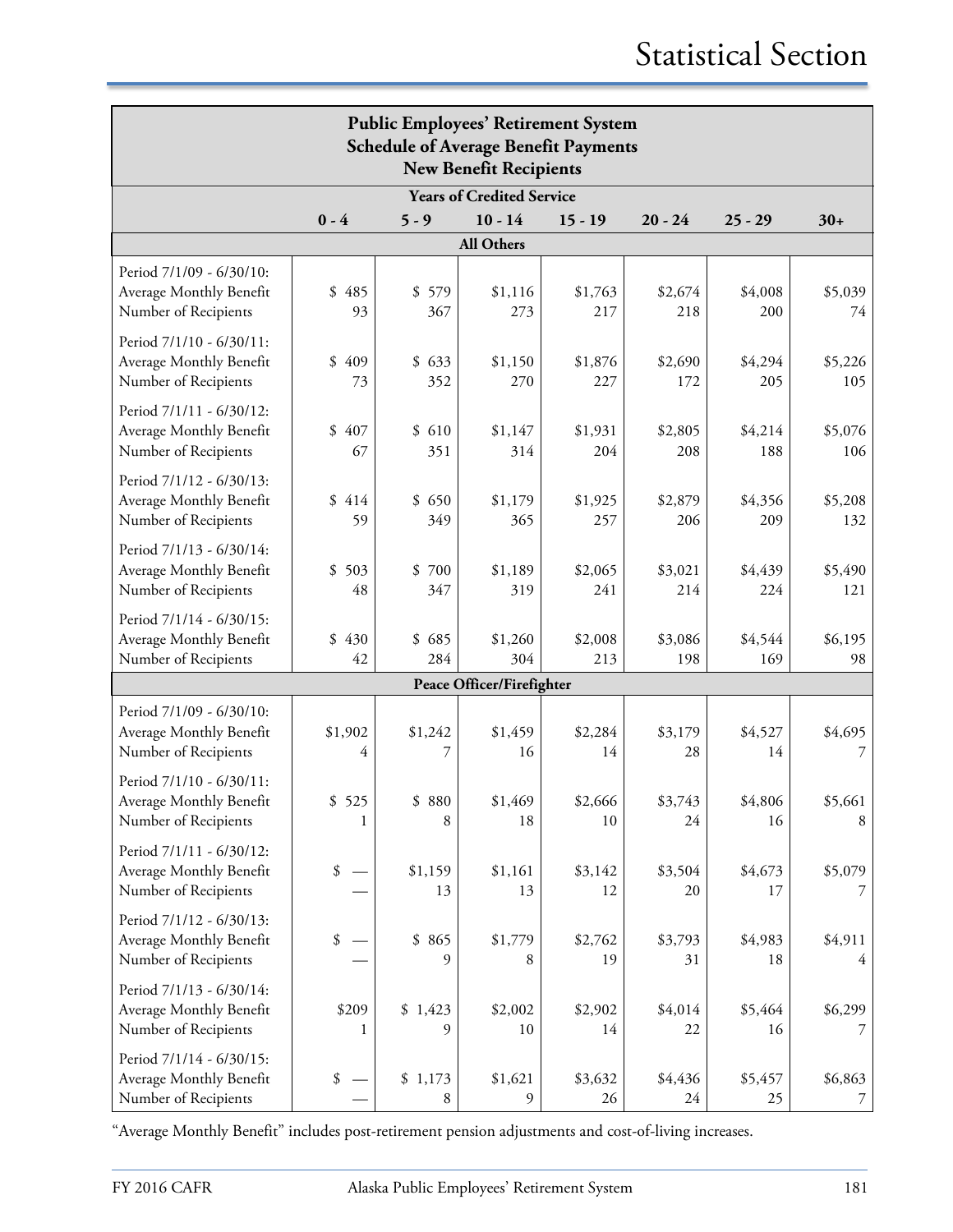| <b>Public Employees' Retirement System</b><br><b>Schedule of Average Benefit Payments</b><br><b>New Benefit Recipients</b> |                 |                  |                                  |                |                |                |                |
|----------------------------------------------------------------------------------------------------------------------------|-----------------|------------------|----------------------------------|----------------|----------------|----------------|----------------|
|                                                                                                                            |                 |                  | <b>Years of Credited Service</b> |                |                |                |                |
|                                                                                                                            | $0 - 4$         | $5 - 9$          | $10 - 14$                        | $15 - 19$      | $20 - 24$      | $25 - 29$      | $30+$          |
|                                                                                                                            |                 |                  | All Others                       |                |                |                |                |
| Period 7/1/09 - 6/30/10:<br>Average Monthly Benefit<br>Number of Recipients                                                | \$<br>485<br>93 | \$<br>579<br>367 | \$1,116<br>273                   | \$1,763<br>217 | \$2,674<br>218 | \$4,008<br>200 | \$5,039<br>74  |
| Period 7/1/10 - 6/30/11:<br>Average Monthly Benefit<br>Number of Recipients                                                | \$<br>409<br>73 | \$633<br>352     | \$1,150<br>270                   | \$1,876<br>227 | \$2,690<br>172 | \$4,294<br>205 | \$5,226<br>105 |
| Period 7/1/11 - 6/30/12:<br>Average Monthly Benefit<br>Number of Recipients                                                | 407<br>\$<br>67 | \$610<br>351     | \$1,147<br>314                   | \$1,931<br>204 | \$2,805<br>208 | \$4,214<br>188 | \$5,076<br>106 |
| Period 7/1/12 - 6/30/13:<br>Average Monthly Benefit<br>Number of Recipients                                                | \$<br>414<br>59 | \$650<br>349     | \$1,179<br>365                   | \$1,925<br>257 | \$2,879<br>206 | \$4,356<br>209 | \$5,208<br>132 |
| Period 7/1/13 - 6/30/14:<br>Average Monthly Benefit<br>Number of Recipients                                                | \$<br>503<br>48 | \$700<br>347     | \$1,189<br>319                   | \$2,065<br>241 | \$3,021<br>214 | \$4,439<br>224 | \$5,490<br>121 |
| Period 7/1/14 - 6/30/15:<br>Average Monthly Benefit<br>Number of Recipients                                                | \$<br>430<br>42 | \$685<br>284     | \$1,260<br>304                   | \$2,008<br>213 | \$3,086<br>198 | \$4,544<br>169 | \$6,195<br>98  |
|                                                                                                                            |                 |                  | Peace Officer/Firefighter        |                |                |                |                |
| Period 7/1/09 - 6/30/10:<br>Average Monthly Benefit<br>Number of Recipients                                                | \$1,902<br>4    | \$1,242<br>7     | \$1,459<br>16                    | \$2,284<br>14  | \$3,179<br>28  | \$4,527<br>14  | \$4,695<br>7   |
| Period 7/1/10 - 6/30/11:<br>Average Monthly Benefit<br>Number of Recipients                                                | \$525<br>1      | \$880<br>8       | \$1,469<br>18                    | \$2,666<br>10  | \$3,743<br>24  | \$4,806<br>16  | \$5,661<br>8   |
| Period 7/1/11 - 6/30/12:<br>Average Monthly Benefit<br>Number of Recipients                                                | \$              | \$1,159<br>13    | \$1,161<br>13                    | \$3,142<br>12  | \$3,504<br>20  | \$4,673<br>17  | \$5,079        |
| Period 7/1/12 - 6/30/13:<br>Average Monthly Benefit<br>Number of Recipients                                                | \$              | \$865<br>9       | \$1,779<br>8                     | \$2,762<br>19  | \$3,793<br>31  | \$4,983<br>18  | \$4,911<br>4   |
| Period 7/1/13 - 6/30/14:<br>Average Monthly Benefit<br>Number of Recipients                                                | \$209           | \$1,423<br>9     | \$2,002<br>10                    | \$2,902<br>14  | \$4,014<br>22  | \$5,464<br>16  | \$6,299        |
| Period 7/1/14 - 6/30/15:<br>Average Monthly Benefit<br>Number of Recipients                                                | \$              | \$1,173<br>8     | \$1,621<br>9                     | \$3,632<br>26  | \$4,436<br>24  | \$5,457<br>25  | \$6,863<br>7   |

"Average Monthly Benefit" includes post-retirement pension adjustments and cost-of-living increases.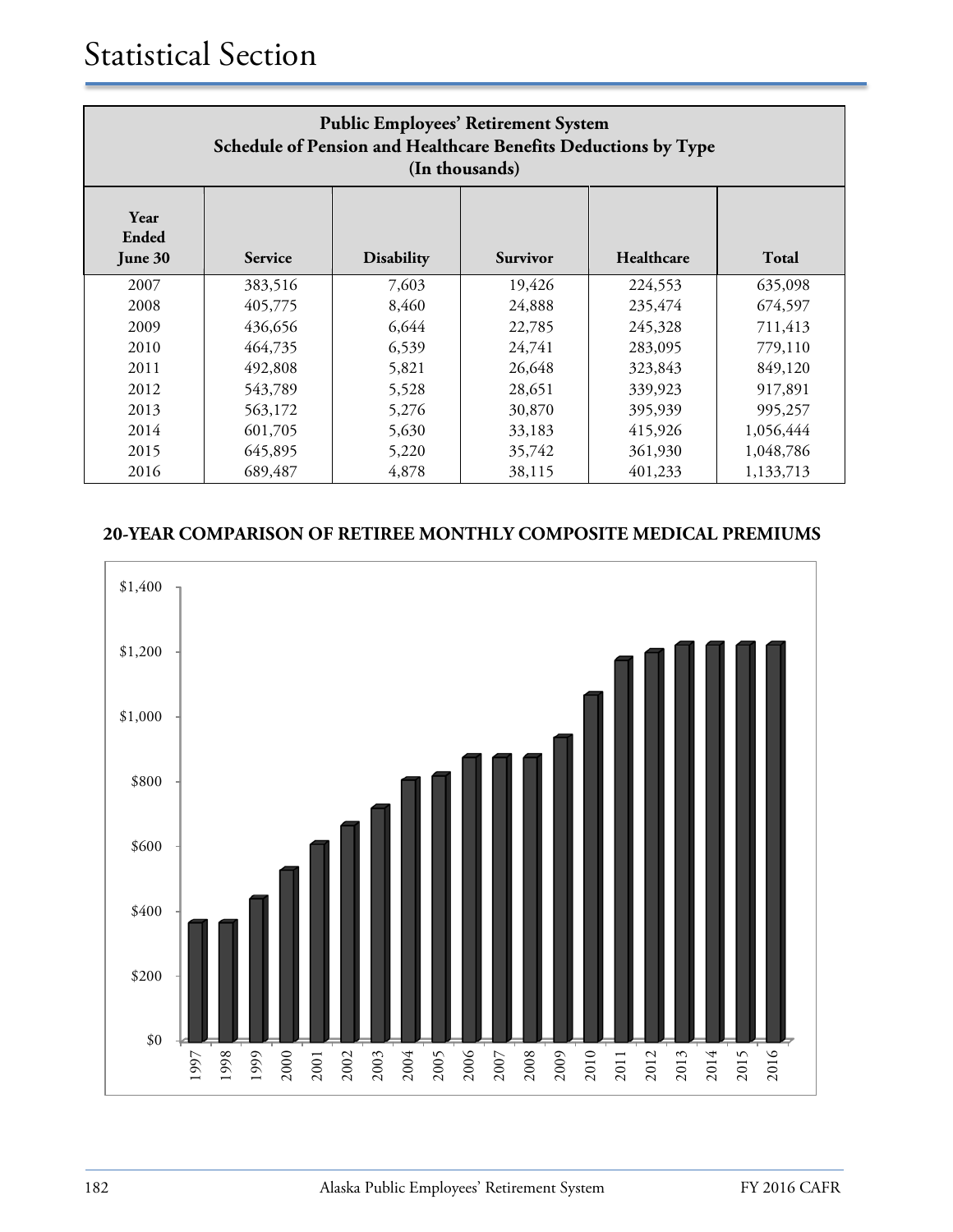| <b>Public Employees' Retirement System</b><br>Schedule of Pension and Healthcare Benefits Deductions by Type<br>(In thousands) |         |       |        |         |           |  |
|--------------------------------------------------------------------------------------------------------------------------------|---------|-------|--------|---------|-----------|--|
| Year<br>Ended<br>Healthcare<br><b>Total</b><br><b>Disability</b><br><b>Survivor</b><br>June 30<br><b>Service</b>               |         |       |        |         |           |  |
| 2007                                                                                                                           | 383,516 | 7,603 | 19,426 | 224,553 | 635,098   |  |
| 2008                                                                                                                           | 405,775 | 8,460 | 24,888 | 235,474 | 674,597   |  |
| 2009                                                                                                                           | 436,656 | 6,644 | 22,785 | 245,328 | 711,413   |  |
| 2010                                                                                                                           | 464,735 | 6,539 | 24,741 | 283,095 | 779,110   |  |
| 2011                                                                                                                           | 492,808 | 5,821 | 26,648 | 323,843 | 849,120   |  |
| 2012                                                                                                                           | 543,789 | 5,528 | 28,651 | 339,923 | 917,891   |  |
| 2013                                                                                                                           | 563,172 | 5,276 | 30,870 | 395,939 | 995,257   |  |
| 2014                                                                                                                           | 601,705 | 5,630 | 33,183 | 415,926 | 1,056,444 |  |
| 2015                                                                                                                           | 645,895 | 5,220 | 35,742 | 361,930 | 1,048,786 |  |
| 2016                                                                                                                           | 689,487 | 4,878 | 38,115 | 401,233 | 1,133,713 |  |

## **20-YEAR COMPARISON OF RETIREE MONTHLY COMPOSITE MEDICAL PREMIUMS**

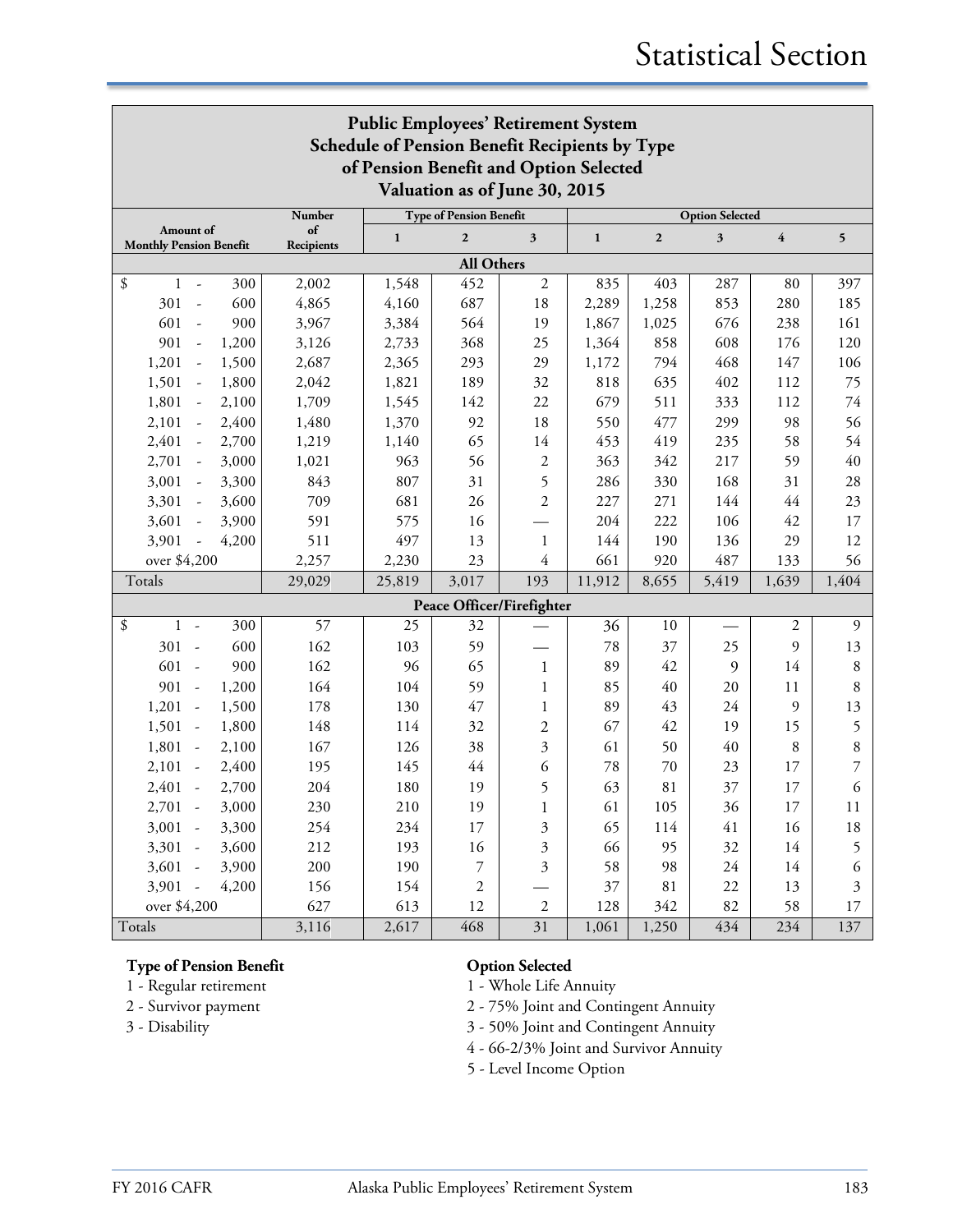| <b>Public Employees' Retirement System</b>                                               |            |              |                  |                           |              |              |                                                                                                            |                         |         |
|------------------------------------------------------------------------------------------|------------|--------------|------------------|---------------------------|--------------|--------------|------------------------------------------------------------------------------------------------------------|-------------------------|---------|
| Schedule of Pension Benefit Recipients by Type<br>of Pension Benefit and Option Selected |            |              |                  |                           |              |              |                                                                                                            |                         |         |
|                                                                                          |            |              |                  |                           |              |              | Valuation as of June 30, 2015<br><b>Type of Pension Benefit</b><br><b>Option Selected</b><br><b>Number</b> |                         |         |
| Amount of                                                                                | of         | $\mathbf{1}$ | $\mathbf{2}$     | 3                         | $\mathbf{1}$ | $\mathbf{2}$ | 3                                                                                                          | $\overline{\mathbf{4}}$ | 5       |
| <b>Monthly Pension Benefit</b>                                                           | Recipients |              |                  |                           |              |              |                                                                                                            |                         |         |
| All Others                                                                               |            |              |                  |                           |              |              |                                                                                                            |                         |         |
| \$<br>300<br>$\mathbf{1}$<br>$\overline{\phantom{a}}$                                    | 2,002      | 1,548        | 452              | $\sqrt{2}$                | 835          | 403          | 287                                                                                                        | 80                      | 397     |
| 600<br>301<br>$\sim$                                                                     | 4,865      | 4,160        | 687              | 18                        | 2,289        | 1,258        | 853                                                                                                        | 280                     | 185     |
| 601<br>900<br>$\sim$                                                                     | 3,967      | 3,384        | 564              | 19                        | 1,867        | 1,025        | 676                                                                                                        | 238                     | 161     |
| 901<br>1,200<br>$\overline{a}$                                                           | 3,126      | 2,733        | 368              | 25                        | 1,364        | 858          | 608                                                                                                        | 176                     | 120     |
| 1,201<br>1,500<br>$\overline{a}$                                                         | 2,687      | 2,365        | 293              | 29                        | 1,172        | 794          | 468                                                                                                        | 147                     | 106     |
| 1,501<br>1,800                                                                           | 2,042      | 1,821        | 189              | 32                        | 818          | 635          | 402                                                                                                        | 112                     | 75      |
| 1,801<br>2,100                                                                           | 1,709      | 1,545        | 142              | 22                        | 679          | 511          | 333                                                                                                        | 112                     | 74      |
| 2,101<br>2,400<br>$\overline{\phantom{a}}$                                               | 1,480      | 1,370        | 92               | 18                        | 550          | 477          | 299                                                                                                        | 98                      | 56      |
| 2,401<br>2,700<br>$\sim$                                                                 | 1,219      | 1,140        | 65               | 14                        | 453          | 419          | 235                                                                                                        | 58                      | 54      |
| 2,701<br>3,000<br>$\overline{\phantom{a}}$                                               | 1,021      | 963          | 56               | 2                         | 363          | 342          | 217                                                                                                        | 59                      | 40      |
| 3,001<br>3,300<br>$\sim$                                                                 | 843        | 807          | 31               | 5                         | 286          | 330          | 168                                                                                                        | 31                      | 28      |
| 3,301<br>3,600<br>$\sim$                                                                 | 709        | 681          | 26               | $\overline{2}$            | 227          | 271          | 144                                                                                                        | 44                      | 23      |
| 3,601<br>3,900<br>$\overline{\phantom{a}}$                                               | 591        | 575          | 16               |                           | 204          | 222          | 106                                                                                                        | 42                      | 17      |
| 3,901<br>4,200<br>$\sim$                                                                 | 511        | 497          | 13               | 1                         | 144          | 190          | 136                                                                                                        | 29                      | 12      |
| over \$4,200                                                                             | 2,257      | 2,230        | 23               | 4                         | 661          | 920          | 487                                                                                                        | 133                     | 56      |
| Totals                                                                                   | 29,029     | 25,819       | 3,017            | 193                       | 11,912       | 8,655        | 5,419                                                                                                      | 1,639                   | 1,404   |
|                                                                                          |            |              |                  | Peace Officer/Firefighter |              |              |                                                                                                            |                         |         |
| \$<br>300<br>$\mathbf{1}$<br>$\sim$                                                      | 57         | 25           | 32               |                           | 36           | 10           |                                                                                                            | 2                       | 9       |
| $301 -$<br>600                                                                           | 162        | 103          | 59               |                           | 78           | 37           | 25                                                                                                         | 9                       | 13      |
| 601<br>900<br>$\overline{a}$                                                             | 162        | 96           | 65               | $\mathbf{1}$              | 89           | 42           | 9                                                                                                          | 14                      | $\,8\,$ |
| $901 -$<br>1,200                                                                         | 164        | 104          | 59               | 1                         | 85           | 40           | 20                                                                                                         | 11                      | 8       |
| 1,201<br>1,500<br>$\sim$                                                                 | 178        | 130          | 47               | 1                         | 89           | 43           | 24                                                                                                         | 9                       | 13      |
| 1,501<br>1,800<br>$\overline{a}$                                                         | 148        | 114          | 32               | $\overline{c}$            | 67           | 42           | 19                                                                                                         | 15                      | 5       |
| 1,801<br>2,100<br>$\overline{\phantom{a}}$                                               | 167        | 126          | 38               | $\mathfrak{Z}$            | 61           | 50           | 40                                                                                                         | 8                       | 8       |
| 2,400<br>2,101<br>$\sim$                                                                 | 195        | 145          | $44$             | 6                         | 78           | 70           | 23                                                                                                         | 17                      | 7       |
| 2,401<br>2,700<br>$\overline{\phantom{a}}$                                               | 204        | 180          | 19               | 5                         | 63           | 81           | 37                                                                                                         | 17                      | 6       |
| 2,701<br>3,000                                                                           | 230        | 210          | 19               | $\mathbf{1}$              | 61           | 105          | 36                                                                                                         | 17                      | 11      |
| 3,300<br>$3,001 -$                                                                       | 254        | 234          | 17               | 3                         | 65           | 114          | 41                                                                                                         | 16                      | 18      |
| 3,301 -<br>3,600                                                                         | 212        | 193          | 16               | 3                         | 66           | 95           | 32                                                                                                         | 14                      | 5       |
| 3,900<br>$3,601 -$                                                                       | 200        | 190          | $\boldsymbol{7}$ | 3                         | 58           | 98           | 24                                                                                                         | 14                      | 6       |
| $3,901 -$<br>4,200                                                                       | 156        | 154          | $\boldsymbol{2}$ |                           | 37           | 81           | 22                                                                                                         | 13                      | 3       |
| over \$4,200                                                                             | 627        | 613          | 12               | $\boldsymbol{2}$          | 128          | 342          | 82                                                                                                         | 58                      | 17      |
| Totals                                                                                   | 3,116      | 2,617        | 468              | 31                        | 1,061        | 1,250        | 434                                                                                                        | 234                     | 137     |

#### **Type of Pension Benefit Option Selected**

- 
- 

1 - Regular retirement 1 - Whole Life Annuity

2 - Survivor payment 2 - 75% Joint and Contingent Annuity

- 3 Disability 3 50% Joint and Contingent Annuity
	- 4 66-2/3% Joint and Survivor Annuity
	- 5 Level Income Option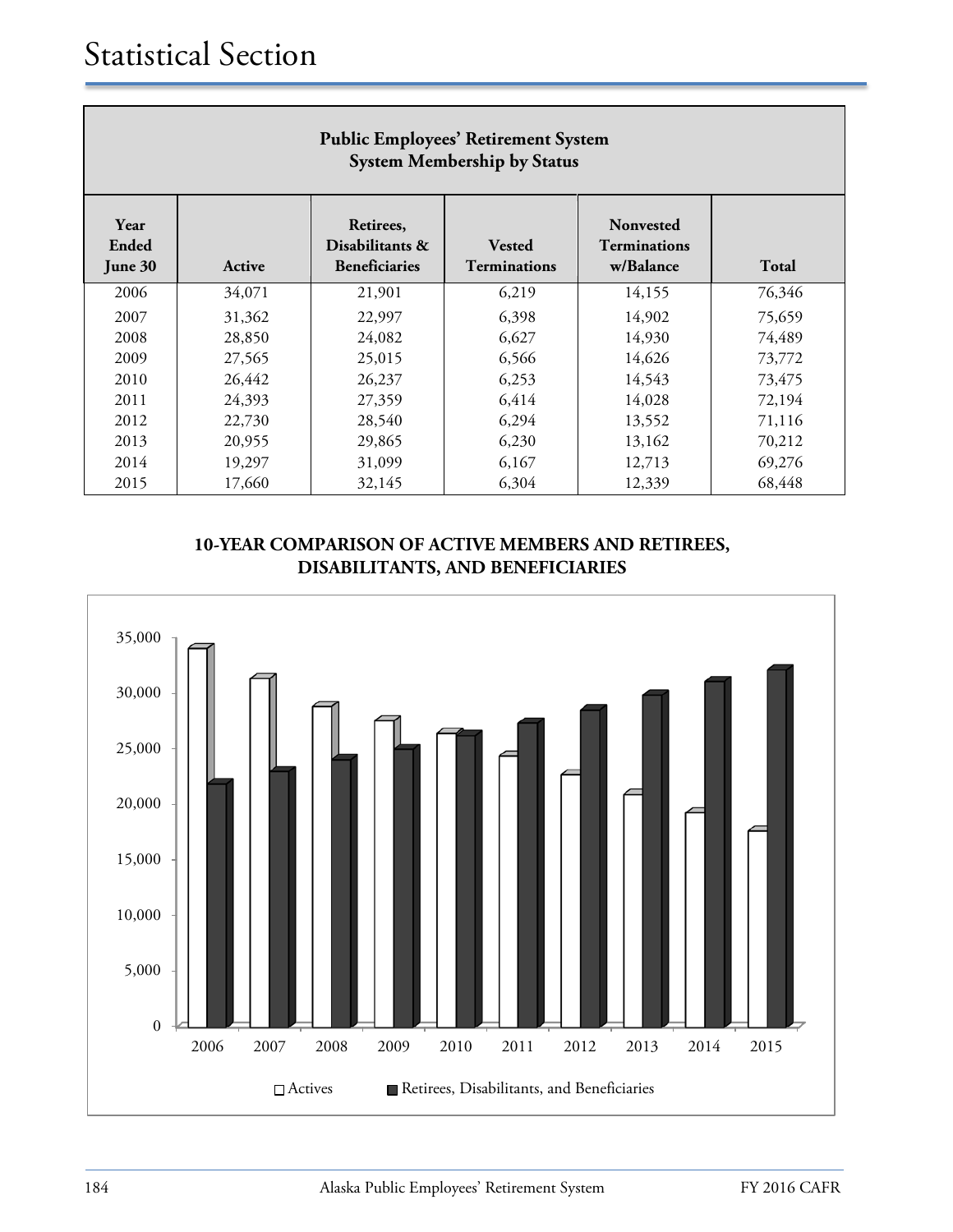| <b>Public Employees' Retirement System</b><br><b>System Membership by Status</b> |        |                                                      |                                      |                                               |        |  |  |
|----------------------------------------------------------------------------------|--------|------------------------------------------------------|--------------------------------------|-----------------------------------------------|--------|--|--|
| Year<br>Ended<br>June 30                                                         | Active | Retirees,<br>Disabilitants &<br><b>Beneficiaries</b> | <b>Vested</b><br><b>Terminations</b> | Nonvested<br><b>Terminations</b><br>w/Balance | Total  |  |  |
| 2006                                                                             | 34,071 | 21,901                                               | 6,219                                | 14,155                                        | 76,346 |  |  |
| 2007                                                                             | 31,362 | 22,997                                               | 6,398                                | 14,902                                        | 75,659 |  |  |
| 2008                                                                             | 28,850 | 24,082                                               | 6,627                                | 14,930                                        | 74,489 |  |  |
| 2009                                                                             | 27,565 | 25,015                                               | 6,566                                | 14,626                                        | 73,772 |  |  |
| 2010                                                                             | 26,442 | 26,237                                               | 6,253                                | 14,543                                        | 73,475 |  |  |
| 2011                                                                             | 24,393 | 27,359                                               | 6,414                                | 14,028                                        | 72,194 |  |  |
| 2012                                                                             | 22,730 | 28,540                                               | 6,294                                | 13,552                                        | 71,116 |  |  |
| 2013                                                                             | 20,955 | 29,865                                               | 6,230                                | 13,162                                        | 70,212 |  |  |
| 2014                                                                             | 19,297 | 31,099                                               | 6,167                                | 12,713                                        | 69,276 |  |  |
| 2015                                                                             | 17,660 | 32,145                                               | 6,304                                | 12,339                                        | 68,448 |  |  |

## **10-YEAR COMPARISON OF ACTIVE MEMBERS AND RETIREES, DISABILITANTS, AND BENEFICIARIES**

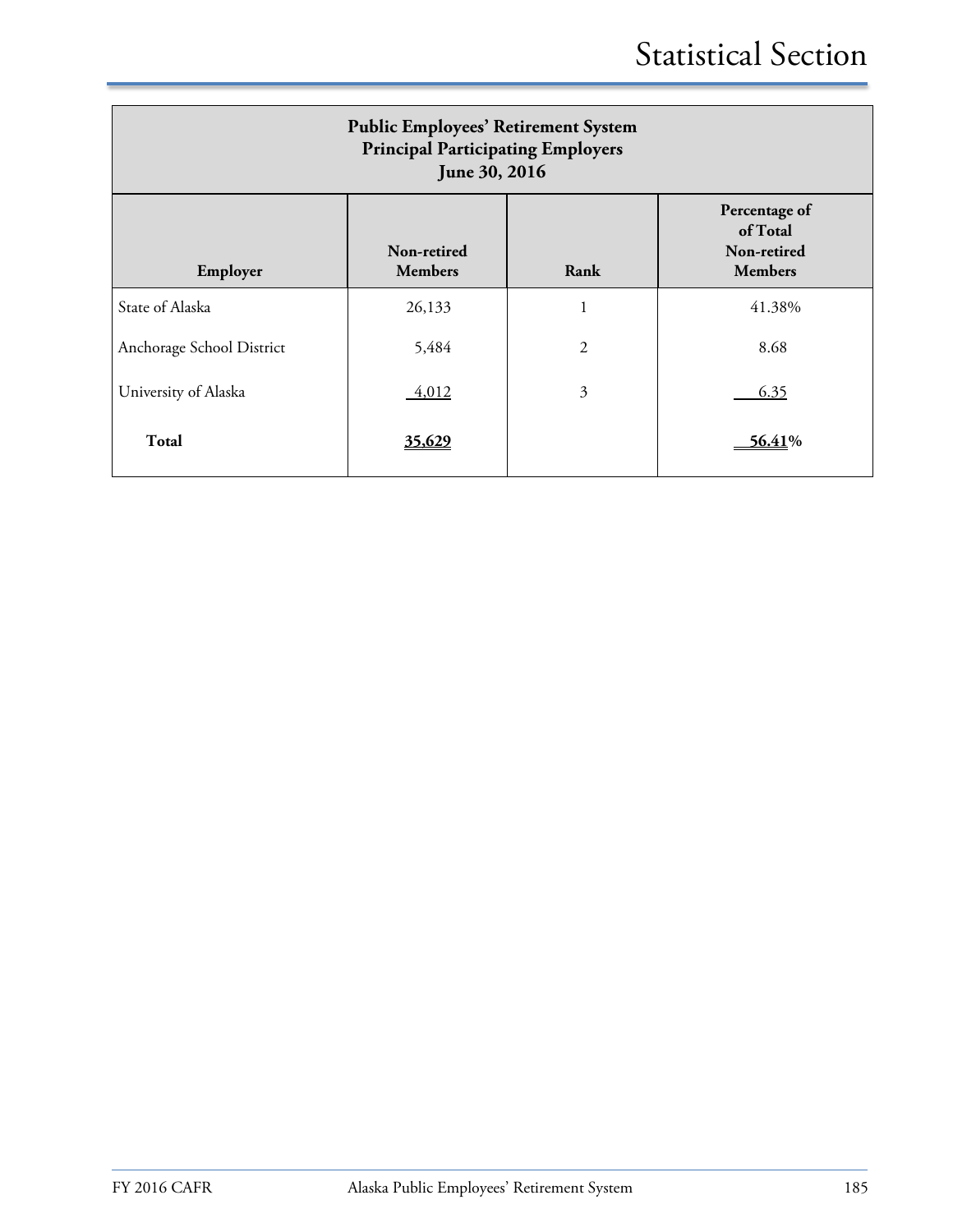| <b>Public Employees' Retirement System</b><br><b>Principal Participating Employers</b><br>June 30, 2016 |                               |                |                                                            |  |  |  |
|---------------------------------------------------------------------------------------------------------|-------------------------------|----------------|------------------------------------------------------------|--|--|--|
| Employer                                                                                                | Non-retired<br><b>Members</b> | Rank           | Percentage of<br>of Total<br>Non-retired<br><b>Members</b> |  |  |  |
| State of Alaska                                                                                         | 26,133                        | $\mathbf{1}$   | 41.38%                                                     |  |  |  |
| Anchorage School District                                                                               | 5,484                         | $\overline{2}$ | 8.68                                                       |  |  |  |
| University of Alaska                                                                                    | $-4,012$                      | 3              | 6.35                                                       |  |  |  |
| <b>Total</b>                                                                                            | 35,629                        |                | $-56.41\%$                                                 |  |  |  |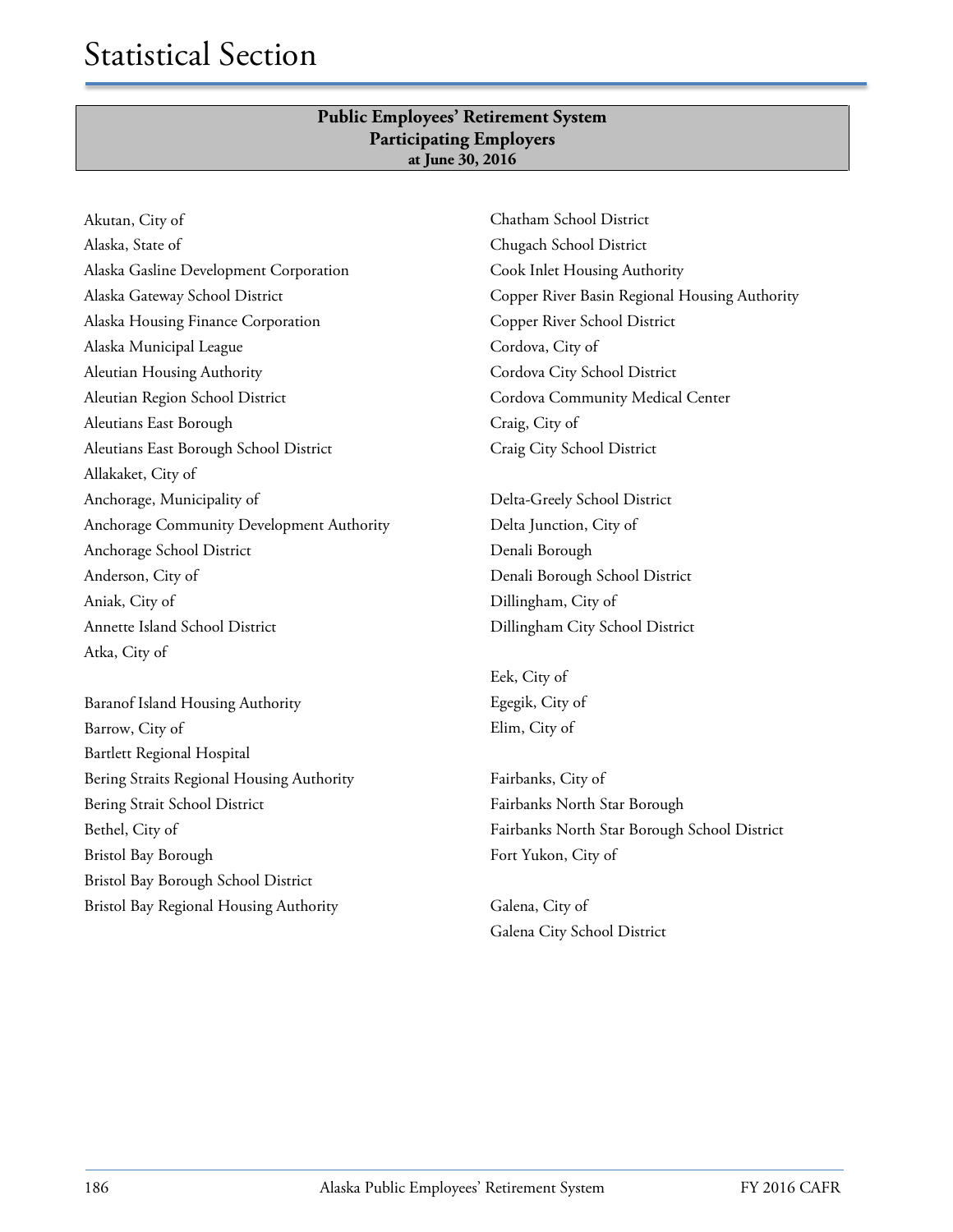#### **Public Employees' Retirement System Participating Employers at June 30, 2016**

Akutan, City of Alaska, State of Alaska Gasline Development Corporation Alaska Gateway School District Alaska Housing Finance Corporation Alaska Municipal League Aleutian Housing Authority Aleutian Region School District Aleutians East Borough Aleutians East Borough School District Allakaket, City of Anchorage, Municipality of Anchorage Community Development Authority Anchorage School District Anderson, City of Aniak, City of Annette Island School District Atka, City of

Baranof Island Housing Authority Barrow, City of Bartlett Regional Hospital Bering Straits Regional Housing Authority Bering Strait School District Bethel, City of Bristol Bay Borough Bristol Bay Borough School District Bristol Bay Regional Housing Authority

Chatham School District Chugach School District Cook Inlet Housing Authority Copper River Basin Regional Housing Authority Copper River School District Cordova, City of Cordova City School District Cordova Community Medical Center Craig, City of Craig City School District

Delta-Greely School District Delta Junction, City of Denali Borough Denali Borough School District Dillingham, City of Dillingham City School District

Eek, City of Egegik, City of Elim, City of

Fairbanks, City of Fairbanks North Star Borough Fairbanks North Star Borough School District Fort Yukon, City of

Galena, City of Galena City School District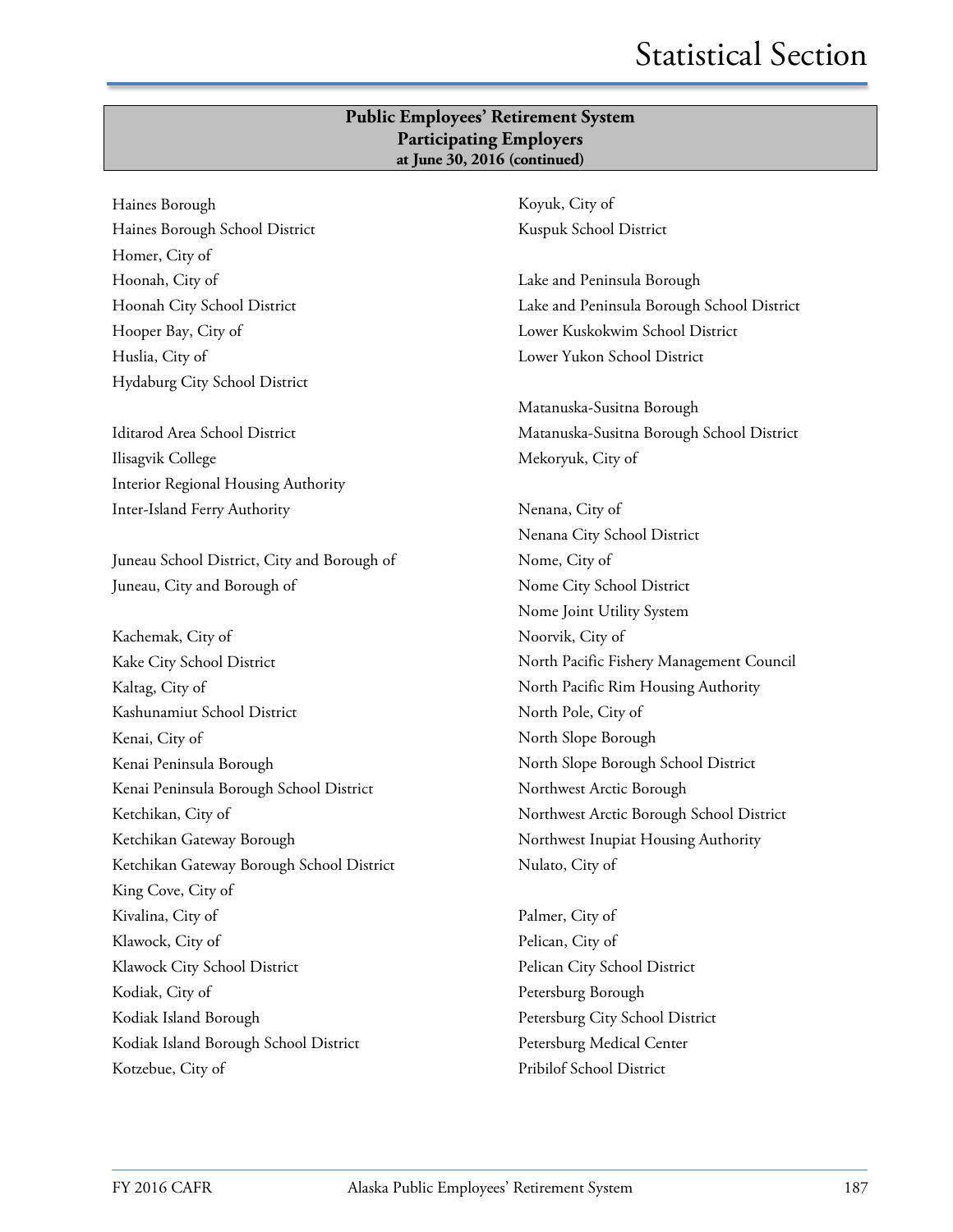#### **Public Employees' Retirement System Participating Employers at June 30, 2016 (continued)**

Haines Borough Haines Borough School District Homer, City of Hoonah, City of Hoonah City School District Hooper Bay, City of Huslia, City of Hydaburg City School District

Iditarod Area School District Ilisagvik College Interior Regional Housing Authority Inter-Island Ferry Authority

Juneau School District, City and Borough of Juneau, City and Borough of

Kachemak, City of Kake City School District Kaltag, City of Kashunamiut School District Kenai, City of Kenai Peninsula Borough Kenai Peninsula Borough School District Ketchikan, City of Ketchikan Gateway Borough Ketchikan Gateway Borough School District King Cove, City of Kivalina, City of Klawock, City of Klawock City School District Kodiak, City of Kodiak Island Borough Kodiak Island Borough School District Kotzebue, City of

Koyuk, City of Kuspuk School District

Lake and Peninsula Borough Lake and Peninsula Borough School District Lower Kuskokwim School District Lower Yukon School District

Matanuska-Susitna Borough Matanuska-Susitna Borough School District Mekoryuk, City of

Nenana, City of Nenana City School District Nome, City of Nome City School District Nome Joint Utility System Noorvik, City of North Pacific Fishery Management Council North Pacific Rim Housing Authority North Pole, City of North Slope Borough North Slope Borough School District Northwest Arctic Borough Northwest Arctic Borough School District Northwest Inupiat Housing Authority Nulato, City of

Palmer, City of Pelican, City of Pelican City School District Petersburg Borough Petersburg City School District Petersburg Medical Center Pribilof School District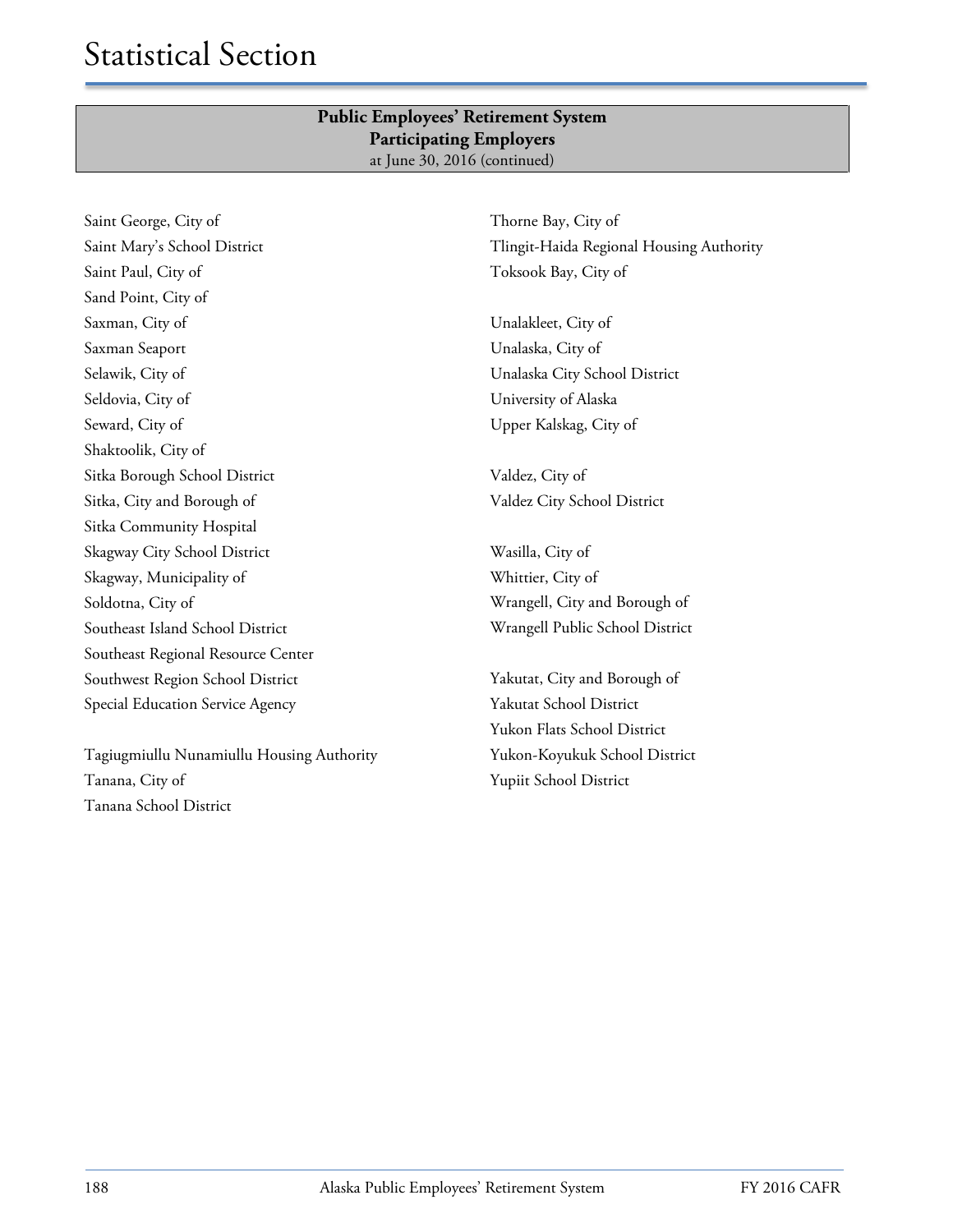#### **Public Employees' Retirement System Participating Employers** at June 30, 2016 (continued)

Saint George, City of Saint Mary's School District Saint Paul, City of Sand Point, City of Saxman, City of Saxman Seaport Selawik, City of Seldovia, City of Seward, City of Shaktoolik, City of Sitka Borough School District Sitka, City and Borough of Sitka Community Hospital Skagway City School District Skagway, Municipality of Soldotna, City of Southeast Island School District Southeast Regional Resource Center Southwest Region School District Special Education Service Agency

Tagiugmiullu Nunamiullu Housing Authority Tanana, City of Tanana School District

Thorne Bay, City of Tlingit-Haida Regional Housing Authority Toksook Bay, City of

Unalakleet, City of Unalaska, City of Unalaska City School District University of Alaska Upper Kalskag, City of

Valdez, City of Valdez City School District

Wasilla, City of Whittier, City of Wrangell, City and Borough of Wrangell Public School District

Yakutat, City and Borough of Yakutat School District Yukon Flats School District Yukon-Koyukuk School District Yupiit School District